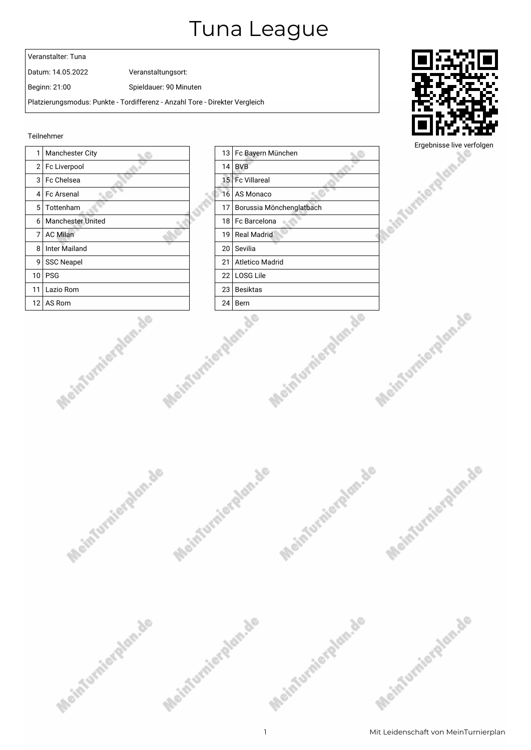#### Veranstalter: Tuna

Datum: 14.05.2022 Veranstaltungsort:

Beginn: 21:00 Spieldauer: 90 Minuten

Platzierungsmodus: Punkte - Tordifferenz - Anzahl Tore - Direkter Vergleich

#### Teilnehmer







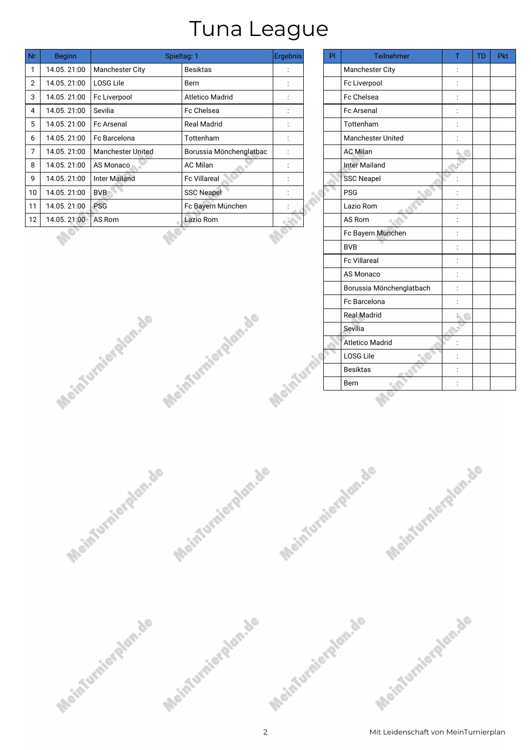| $Nr$ .         | <b>Beginn</b> | Spieltag: 1              |                         | Ergebnis                    | PI | <b>Teilnehmer</b>        |                 | <b>TD</b> | Pkt |
|----------------|---------------|--------------------------|-------------------------|-----------------------------|----|--------------------------|-----------------|-----------|-----|
| 1              | 14.05.21:00   | <b>Manchester City</b>   | <b>Besiktas</b>         |                             |    | <b>Manchester City</b>   |                 |           |     |
| $\overline{2}$ | 14.05.21:00   | <b>LOSG Lile</b>         | Bern                    | $\cdot$                     |    | Fc Liverpool             | $\cdot$         |           |     |
| 3              | 14.05.21:00   | Fc Liverpool             | <b>Atletico Madrid</b>  | $\cdot$                     |    | <b>Fc Chelsea</b>        | $\cdot$         |           |     |
| 4              | 14.05.21:00   | Sevilia                  | Fc Chelsea              |                             |    | <b>Fc Arsenal</b>        |                 |           |     |
| 5              | 14.05.21:00   | <b>Fc Arsenal</b>        | <b>Real Madrid</b>      |                             |    | Tottenham                |                 |           |     |
| 6              | 14.05.21:00   | Fc Barcelona             | Tottenham               |                             |    | <b>Manchester United</b> | ÷               |           |     |
| 7              | 14.05.21:00   | <b>Manchester United</b> | Borussia Mönchenglatbac |                             |    | <b>AC Milan</b>          | $\sim$ $\sigma$ |           |     |
| 8              | 14.05.21:00   | AS Monaco                | <b>AC Milan</b>         |                             |    | <b>Inter Mailand</b>     |                 |           |     |
| 9              | 14.05.21:00   | <b>Inter Mailand</b>     | <b>Fc Villareal</b>     |                             |    | <b>SSC Neapel</b>        |                 |           |     |
| 10             | 14.05.21:00   | <b>BVB</b>               | <b>SSC Neapel</b>       |                             |    | <b>PSG</b>               |                 |           |     |
| 11             | 14.05.21:00   | <b>PSG</b>               | Fc Bayern München       |                             |    | Lazio Rom                |                 |           |     |
| 12             | 14.05.21:00   | AS Rom                   | Lazio Rom               | $\mathcal{L}(\mathbb{R}^2)$ |    | AS Rom                   | $\cdot$         |           |     |
|                |               |                          |                         |                             |    | Fc Bayern München        |                 |           |     |

Meintumierdun.de

Meinfurnierglan.de

|   | Ergebnis       | PI | Teilnehmer               | Τ              | TD | Pkt |
|---|----------------|----|--------------------------|----------------|----|-----|
|   | $\ddot{\cdot}$ |    | Manchester City          |                |    |     |
|   |                |    | Fc Liverpool             | $\ddot{\cdot}$ |    |     |
|   | $\vdots$       |    | Fc Chelsea               |                |    |     |
|   | $\vdots$       |    | Fc Arsenal               | $\vdots$       |    |     |
|   | $\vdots$       |    | Tottenham                |                |    |     |
|   | $\ddot{\cdot}$ |    | Manchester United        |                |    |     |
| c | $\vdots$       |    | <b>AC Milan</b>          |                |    |     |
|   | $\vdots$       |    | <b>Inter Mailand</b>     |                |    |     |
|   | $\vdots$       |    | <b>SSC Neapel</b>        |                |    |     |
|   | $\vdots$       |    | <b>PSG</b>               |                |    |     |
|   |                |    | Lazio Rom                |                |    |     |
|   |                |    | AS Rom                   |                |    |     |
|   |                |    | Fc Bayern München        |                |    |     |
|   |                |    | <b>BVB</b>               |                |    |     |
|   |                |    | <b>Fc Villareal</b>      |                |    |     |
|   |                |    | AS Monaco                |                |    |     |
|   |                |    | Borussia Mönchenglatbach | $\ddot{\cdot}$ |    |     |
|   |                |    | Fc Barcelona             | $\vdots$       |    |     |
|   |                |    | Real Madrid              |                |    |     |
|   |                |    | Sevilia                  |                |    |     |
|   |                |    | Atletico Madrid          |                |    |     |
|   |                |    | LOSG Lile                |                |    |     |
|   |                |    | <b>Besiktas</b>          | $\vdots$       |    |     |
|   |                |    | <b>Bern</b>              | $\vdots$       |    |     |
|   | Acinturi       |    |                          |                |    |     |

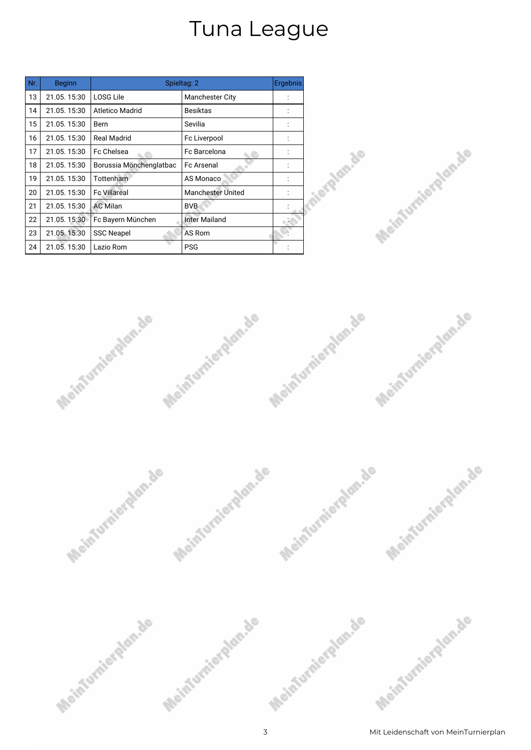| Nr. | <b>Beginn</b> | Spieltag: 2             |                          |  |
|-----|---------------|-------------------------|--------------------------|--|
| 13  | 21.05.15:30   | <b>LOSG Lile</b>        | <b>Manchester City</b>   |  |
| 14  | 21.05.15:30   | <b>Atletico Madrid</b>  | <b>Besiktas</b>          |  |
| 15  | 21.05.15:30   | Bern                    | Sevilia                  |  |
| 16  | 21.05.15:30   | <b>Real Madrid</b>      | Fc Liverpool             |  |
| 17  | 21.05.15:30   | Fc Chelsea              | Fc Barcelona             |  |
| 18  | 21.05.15:30   | Borussia Mönchenglatbac | <b>Fc Arsenal</b>        |  |
| 19  | 21.05.15:30   | Tottenham               | AS Monaco                |  |
| 20  | 21.05.15:30   | <b>Fc Villareal</b>     | <b>Manchester United</b> |  |
| 21  | 21.05.15:30   | <b>AC Milan</b>         | <b>BVB</b>               |  |
| 22  | 21.05.15:30   | Fc Bayern München       | <b>Inter Mailand</b>     |  |
| 23  | 21.05.15:30   | <b>SSC Neapel</b>       | AS Rom                   |  |
| 24  | 21.05.15:30   | Lazio Rom               | <b>PSG</b>               |  |







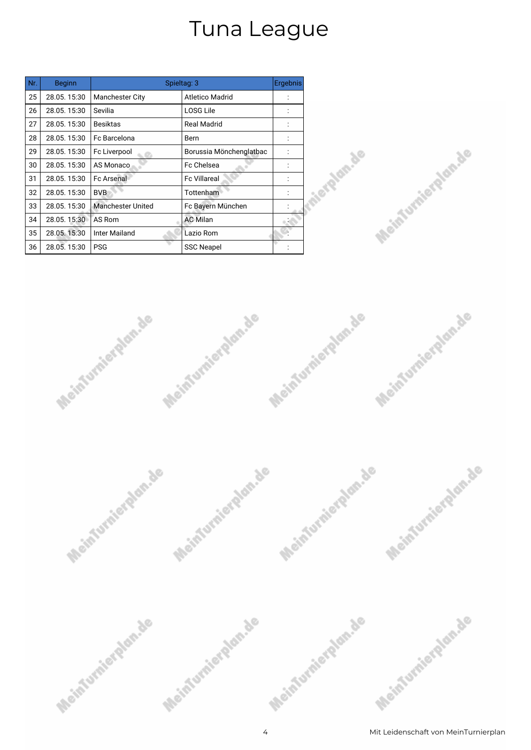| Nr. | <b>Beginn</b> | Spieltag: 3              |                         |  |
|-----|---------------|--------------------------|-------------------------|--|
| 25  | 28.05.15:30   | <b>Manchester City</b>   | <b>Atletico Madrid</b>  |  |
| 26  | 28.05.15:30   | Sevilia                  | <b>LOSG Lile</b>        |  |
| 27  | 28.05.15:30   | <b>Besiktas</b>          | <b>Real Madrid</b>      |  |
| 28  | 28.05.15:30   | Fc Barcelona             | <b>Bern</b>             |  |
| 29  | 28.05.15:30   | Fc Liverpool             | Borussia Mönchenglatbac |  |
| 30  | 28.05.15:30   | AS Monaco                | Fc Chelsea              |  |
| 31  | 28.05.15:30   | <b>Fc Arsenal</b>        | <b>Fc Villareal</b>     |  |
| 32  | 28.05.15:30   | <b>BVB</b>               | Tottenham               |  |
| 33  | 28.05.15:30   | <b>Manchester United</b> | Fc Bayern München       |  |
| 34  | 28.05.15:30   | AS Rom                   | <b>AC Milan</b>         |  |
| 35  | 28.05.15:30   | <b>Inter Mailand</b>     | Lazio Rom               |  |
| 36  | 28.05.15:30   | <b>PSG</b>               | <b>SSC Neapel</b>       |  |







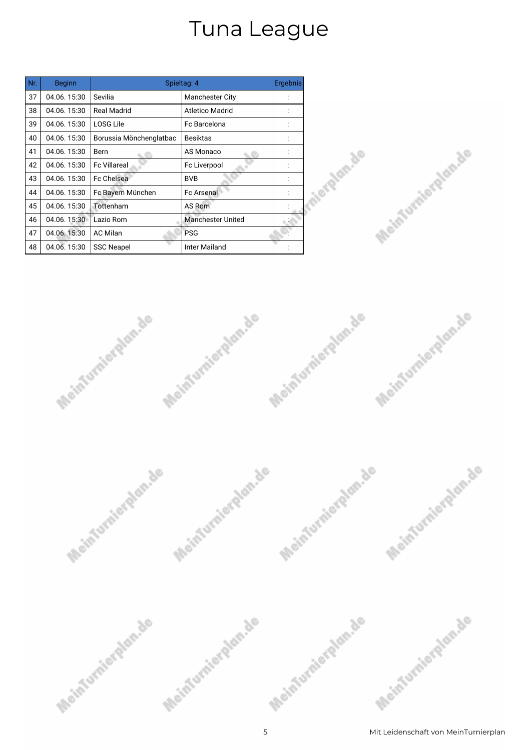| Nr. | <b>Beginn</b> | Spieltag: 4             |                          |  |
|-----|---------------|-------------------------|--------------------------|--|
| 37  | 04.06.15:30   | Sevilia                 | <b>Manchester City</b>   |  |
| 38  | 04.06.15:30   | <b>Real Madrid</b>      | <b>Atletico Madrid</b>   |  |
| 39  | 04.06.15:30   | <b>LOSG Lile</b>        | <b>Fc Barcelona</b>      |  |
| 40  | 04.06.15:30   | Borussia Mönchenglatbac | <b>Besiktas</b>          |  |
| 41  | 04.06.15:30   | Bern                    | AS Monaco                |  |
| 42  | 04.06.15:30   | <b>Fc Villareal</b>     | Fc Liverpool             |  |
| 43  | 04.06.15:30   | Fc Chelsea              | <b>BVB</b>               |  |
| 44  | 04.06.15:30   | Fc Bayern München       | <b>Fc Arsenal</b>        |  |
| 45  | 04.06.15:30   | Tottenham               | AS Rom                   |  |
| 46  | 04.06.15:30   | Lazio Rom               | <b>Manchester United</b> |  |
| 47  | 04.06.15:30   | <b>AC Milan</b>         | <b>PSG</b>               |  |
| 48  | 04.06.15:30   | <b>SSC Neapel</b>       | Inter Mailand            |  |







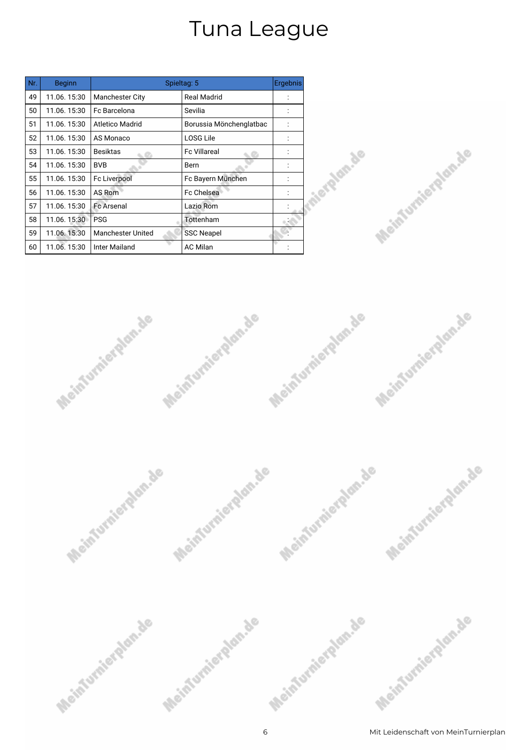| Nr. | <b>Beginn</b> | Spieltag: 5              |                         |  |
|-----|---------------|--------------------------|-------------------------|--|
| 49  | 11.06.15:30   | <b>Manchester City</b>   | <b>Real Madrid</b>      |  |
| 50  | 11.06.15:30   | Fc Barcelona             | Sevilia                 |  |
| 51  | 11.06.15:30   | Atletico Madrid          | Borussia Mönchenglatbac |  |
| 52  | 11.06.15:30   | AS Monaco                | <b>LOSG Lile</b>        |  |
| 53  | 11.06.15:30   | Besiktas                 | <b>Fc Villareal</b>     |  |
| 54  | 11.06.15:30   | <b>BVB</b>               | Bern                    |  |
| 55  | 11.06.15:30   | Fc Liverpool             | Fc Bayern München       |  |
| 56  | 11.06.15:30   | AS Rom                   | <b>Fc Chelsea</b>       |  |
| 57  | 11.06.15:30   | <b>Fc Arsenal</b>        | Lazio Rom               |  |
| 58  | 11.06.15:30   | <b>PSG</b>               | Tottenham               |  |
| 59  | 11.06.15:30   | <b>Manchester United</b> | <b>SSC Neapel</b>       |  |
| 60  | 11.06.15:30   | <b>Inter Mailand</b>     | <b>AC Milan</b>         |  |







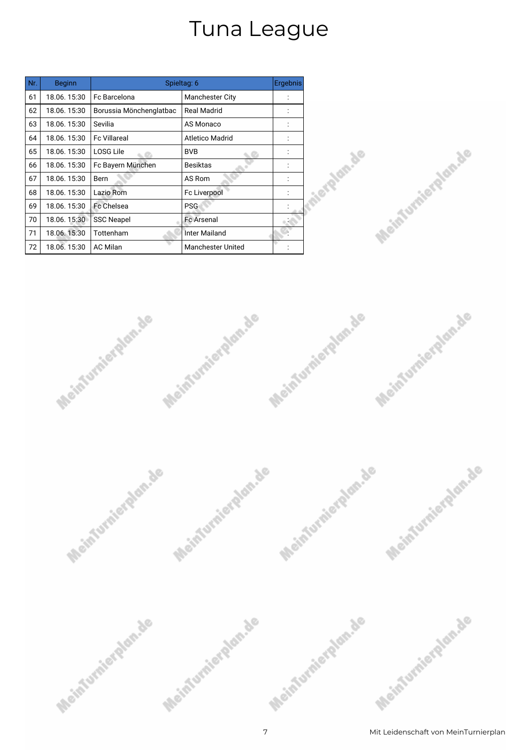| Nr. | <b>Beginn</b> | Spieltag: 6             |                          |  |
|-----|---------------|-------------------------|--------------------------|--|
| 61  | 18.06.15:30   | Fc Barcelona            | <b>Manchester City</b>   |  |
| 62  | 18.06.15:30   | Borussia Mönchenglatbac | <b>Real Madrid</b>       |  |
| 63  | 18.06.15:30   | Sevilia                 | AS Monaco                |  |
| 64  | 18.06.15:30   | <b>Fc Villareal</b>     | Atletico Madrid          |  |
| 65  | 18.06.15:30   | LOSG Lile               | <b>BVB</b>               |  |
| 66  | 18.06.15:30   | Fc Bayern München       | <b>Besiktas</b>          |  |
| 67  | 18.06.15:30   | Bern                    | AS Rom                   |  |
| 68  | 18.06.15:30   | Lazio Rom               | Fc Liverpool             |  |
| 69  | 18.06.15:30   | Fc Chelsea              | <b>PSG</b>               |  |
| 70  | 18.06.15:30   | <b>SSC Neapel</b>       | <b>Fc Arsenal</b>        |  |
| 71  | 18.06.15:30   | Tottenham               | Inter Mailand            |  |
| 72  | 18.06.15:30   | <b>AC Milan</b>         | <b>Manchester United</b> |  |







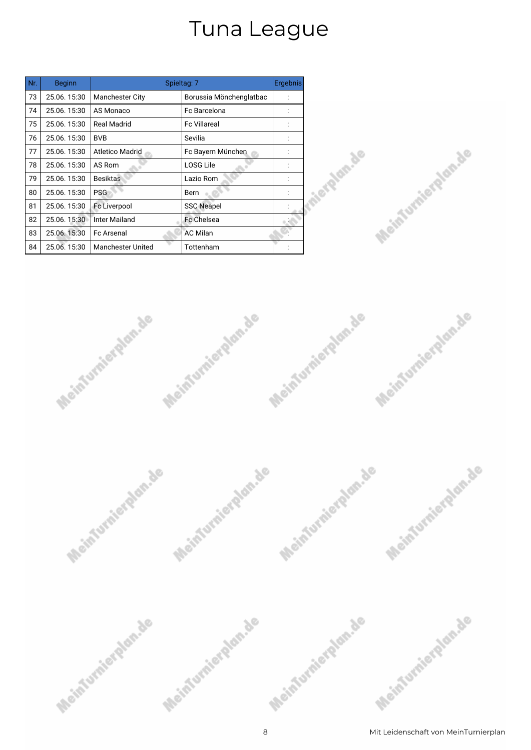| Nr. | <b>Beginn</b> | Spieltag: 7              |                         |  |
|-----|---------------|--------------------------|-------------------------|--|
| 73  | 25.06.15:30   | <b>Manchester City</b>   | Borussia Mönchenglatbac |  |
| 74  | 25.06.15:30   | AS Monaco                | <b>Fc Barcelona</b>     |  |
| 75  | 25.06.15:30   | Real Madrid              | <b>Fc Villareal</b>     |  |
| 76  | 25.06.15:30   | <b>BVB</b>               | Sevilia                 |  |
| 77  | 25.06.15:30   | <b>Atletico Madrid</b>   | Fc Bayern München       |  |
| 78  | 25.06.15:30   | AS Rom                   | <b>LOSG Lile</b>        |  |
| 79  | 25.06.15:30   | <b>Besiktas</b>          | Lazio Rom               |  |
| 80  | 25.06.15:30   | <b>PSG</b>               | Bern                    |  |
| 81  | 25.06.15:30   | <b>Fc Liverpool</b>      | <b>SSC Neapel</b>       |  |
| 82  | 25.06.15:30   | Inter Mailand            | <b>Fc Chelsea</b>       |  |
| 83  | 25.06.15:30   | <b>Fc Arsenal</b>        | <b>AC Milan</b>         |  |
| 84  | 25.06.15:30   | <b>Manchester United</b> | Tottenham               |  |







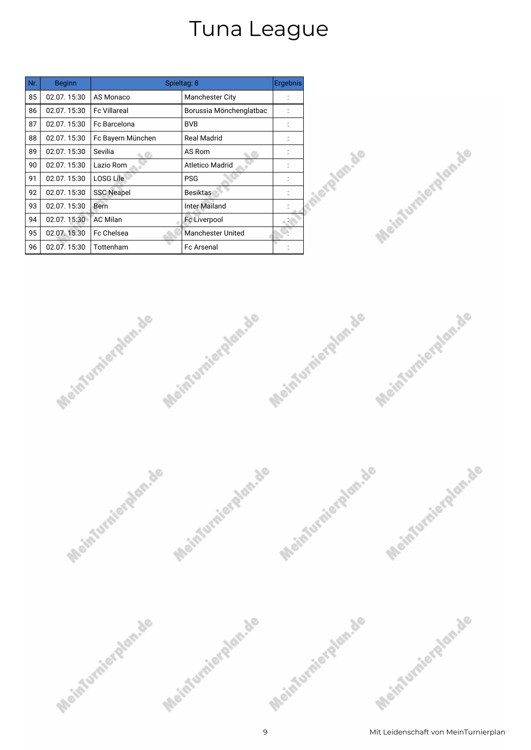| Nr. | <b>Beginn</b> | Spieltag: 8         |                          |  |
|-----|---------------|---------------------|--------------------------|--|
| 85  | 02.07.15:30   | AS Monaco           | <b>Manchester City</b>   |  |
| 86  | 02.07.15:30   | <b>Fc Villareal</b> | Borussia Mönchenglatbac  |  |
| 87  | 02.07.15:30   | Fc Barcelona        | <b>BVB</b>               |  |
| 88  | 02.07.15:30   | Fc Bayern München   | <b>Real Madrid</b>       |  |
| 89  | 02.07.15:30   | Sevilia             | AS Rom                   |  |
| 90  | 02.07.15:30   | Lazio Rom           | <b>Atletico Madrid</b>   |  |
| 91  | 02.07.15:30   | <b>LOSG Lile</b>    | <b>PSG</b>               |  |
| 92  | 02.07.15:30   | <b>SSC Neapel</b>   | Besiktas                 |  |
| 93  | 02.07.15:30   | Bern                | <b>Inter Mailand</b>     |  |
| 94  | 02.07.15:30   | <b>AC Milan</b>     | Fc Liverpool             |  |
| 95  | 02.07.15:30   | Fc Chelsea          | <b>Manchester United</b> |  |
| 96  | 02.07.15:30   | Tottenham           | <b>Fc Arsenal</b>        |  |







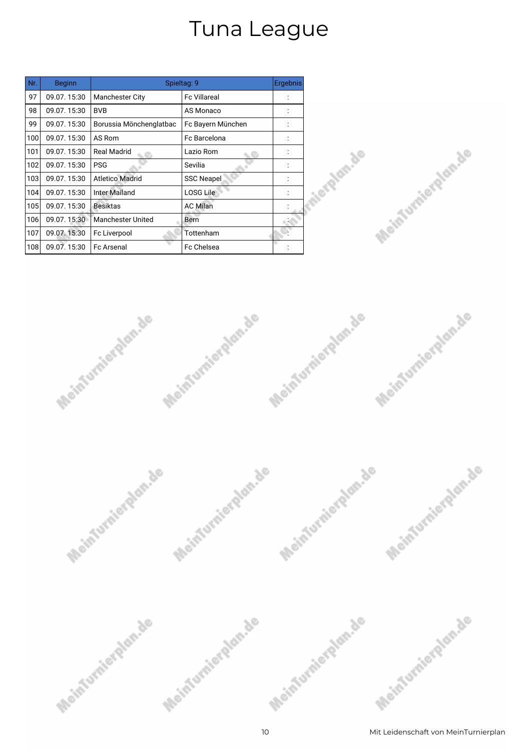| Nr. | <b>Beginn</b> | Spieltag: 9              |                     |  |
|-----|---------------|--------------------------|---------------------|--|
| 97  | 09.07.15:30   | <b>Manchester City</b>   | <b>Fc Villareal</b> |  |
| 98  | 09.07.15:30   | <b>BVB</b>               | AS Monaco           |  |
| 99  | 09.07.15:30   | Borussia Mönchenglatbac  | Fc Bayern München   |  |
| 100 | 09.07.15:30   | AS Rom                   | Fc Barcelona        |  |
| 101 | 09.07.15:30   | Real Madrid              | Lazio Rom           |  |
| 102 | 09.07.15:30   | <b>PSG</b>               | Sevilia             |  |
| 103 | 09.07.15:30   | <b>Atletico Madrid</b>   | <b>SSC Neapel</b>   |  |
| 104 | 09.07.15:30   | Inter Mailand            | <b>LOSG Lile</b>    |  |
| 105 | 09.07.15:30   | <b>Besiktas</b>          | <b>AC Milan</b>     |  |
| 106 | 09.07.15:30   | <b>Manchester United</b> | Bern                |  |
| 107 | 09.07.15:30   | Fc Liverpool             | Tottenham           |  |
| 108 | 09.07.15:30   | <b>Fc Arsenal</b>        | <b>Fc Chelsea</b>   |  |







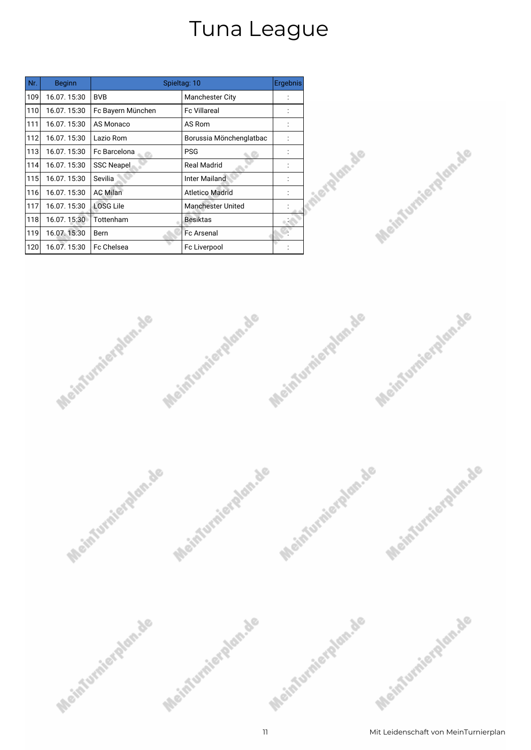| Nr. | <b>Beginn</b> | Spieltag: 10      |                          |  |
|-----|---------------|-------------------|--------------------------|--|
| 109 | 16.07.15:30   | <b>BVB</b>        | Manchester City          |  |
| 110 | 16.07.15:30   | Fc Bayern München | <b>Fc Villareal</b>      |  |
| 111 | 16.07.15:30   | AS Monaco         | AS Rom                   |  |
| 112 | 16.07.15:30   | Lazio Rom         | Borussia Mönchenglatbac  |  |
| 113 | 16.07.15:30   | Fc Barcelona      | <b>PSG</b>               |  |
| 114 | 16.07.15:30   | <b>SSC Neapel</b> | <b>Real Madrid</b>       |  |
| 115 | 16.07.15:30   | Sevilia           | Inter Mailand            |  |
| 116 | 16.07.15:30   | <b>AC Milan</b>   | <b>Atletico Madrid</b>   |  |
| 117 | 16.07.15:30   | <b>LOSG Lile</b>  | <b>Manchester United</b> |  |
| 118 | 16.07.15:30   | Tottenham         | <b>Besiktas</b>          |  |
| 119 | 16.07.15:30   | Bern              | <b>Fc Arsenal</b>        |  |
| 120 | 16.07.15:30   | Fc Chelsea        | Fc Liverpool             |  |







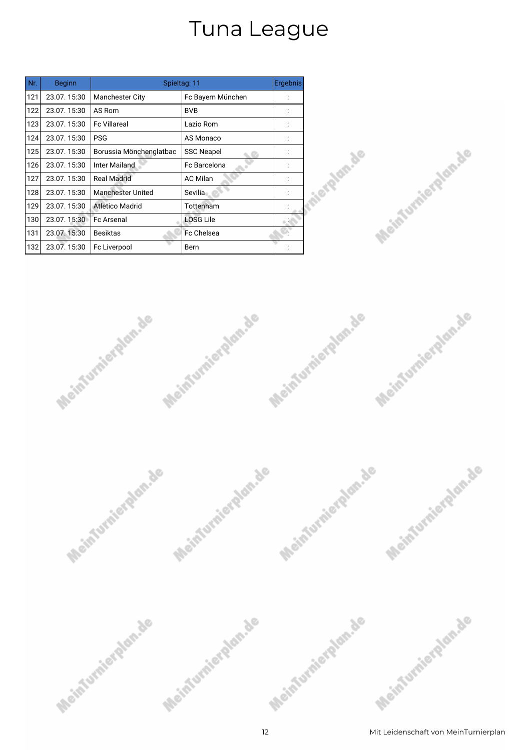| Nr. | <b>Beginn</b> | Spieltag: 11             |                   |  |
|-----|---------------|--------------------------|-------------------|--|
| 121 | 23.07.15:30   | <b>Manchester City</b>   | Fc Bayern München |  |
| 122 | 23.07.15:30   | AS Rom                   | <b>BVB</b>        |  |
| 123 | 23.07.15:30   | <b>Fc Villareal</b>      | Lazio Rom         |  |
| 124 | 23.07.15:30   | <b>PSG</b>               | AS Monaco         |  |
| 125 | 23.07.15:30   | Borussia Mönchenglatbac  | <b>SSC Neapel</b> |  |
| 126 | 23.07.15:30   | <b>Inter Mailand</b>     | Fc Barcelona      |  |
| 127 | 23.07.15:30   | <b>Real Madrid</b>       | <b>AC Milan</b>   |  |
| 128 | 23.07.15:30   | <b>Manchester United</b> | Sevilia           |  |
| 129 | 23.07.15:30   | <b>Atletico Madrid</b>   | Tottenham         |  |
| 130 | 23.07.15:30   | <b>Fc Arsenal</b>        | <b>LOSG Lile</b>  |  |
| 131 | 23.07.15:30   | <b>Besiktas</b>          | <b>Fc Chelsea</b> |  |
| 132 | 23.07.15:30   | Fc Liverpool             | Bern              |  |







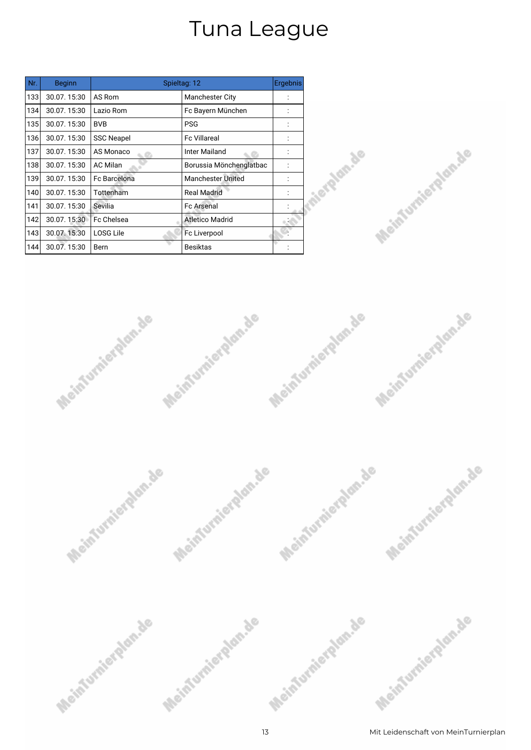| Nr. | <b>Beginn</b> |                   | Spieltag: 12             | Ergebnis |
|-----|---------------|-------------------|--------------------------|----------|
| 133 | 30.07.15:30   | AS Rom            | <b>Manchester City</b>   |          |
| 134 | 30.07.15:30   | Lazio Rom         | Fc Bayern München        |          |
| 135 | 30.07.15:30   | <b>BVB</b>        | <b>PSG</b>               |          |
| 136 | 30.07.15:30   | <b>SSC Neapel</b> | <b>Fc Villareal</b>      |          |
| 137 | 30.07.15:30   | AS Monaco         | Inter Mailand            |          |
| 138 | 30.07.15:30   | <b>AC Milan</b>   | Borussia Mönchenglatbac  |          |
| 139 | 30.07.15:30   | Fc Barcelona      | <b>Manchester United</b> |          |
| 140 | 30.07.15:30   | Tottenham         | <b>Real Madrid</b>       |          |
| 141 | 30.07.15:30   | Sevilia           | <b>Fc Arsenal</b>        |          |
| 142 | 30.07.15:30   | Fc Chelsea        | <b>Atletico Madrid</b>   |          |
| 143 | 30.07.15:30   | <b>LOSG Lile</b>  | Fc Liverpool             |          |
| 144 | 30.07.15:30   | Bern              | <b>Besiktas</b>          |          |







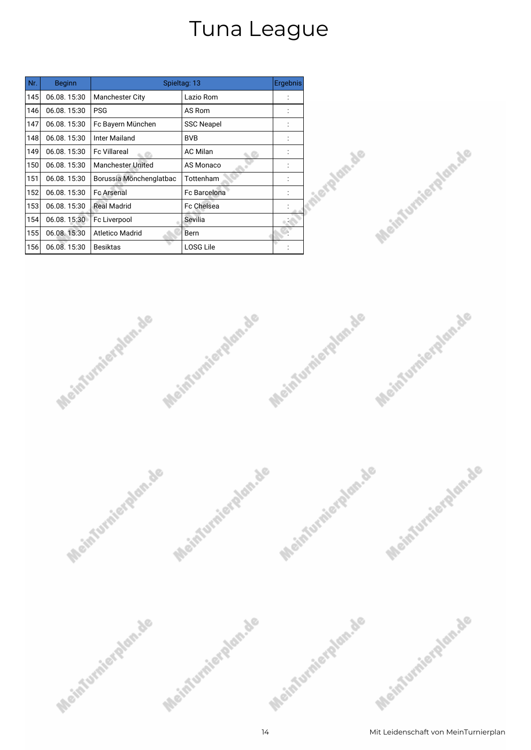| Nr. | <b>Beginn</b> |                          | Spieltag: 13        | Ergebnis |
|-----|---------------|--------------------------|---------------------|----------|
| 145 | 06.08.15:30   | <b>Manchester City</b>   | Lazio Rom           |          |
| 146 | 06.08.15:30   | <b>PSG</b>               | AS Rom              |          |
| 147 | 06.08.15:30   | Fc Bayern München        | <b>SSC Neapel</b>   |          |
| 148 | 06.08.15:30   | Inter Mailand            | <b>BVB</b>          |          |
| 149 | 06.08.15:30   | <b>Fc Villareal</b>      | <b>AC Milan</b>     |          |
| 150 | 06.08.15:30   | <b>Manchester United</b> | AS Monaco           |          |
| 151 | 06.08.15:30   | Borussia Mönchenglatbac  | Tottenham           |          |
| 152 | 06.08.15:30   | <b>Fc Arsenal</b>        | <b>Fc Barcelona</b> |          |
| 153 | 06.08.15:30   | <b>Real Madrid</b>       | Fc Chelsea          |          |
| 154 | 06.08.15:30   | Fc Liverpool             | Sevilia             |          |
| 155 | 06.08.15:30   | <b>Atletico Madrid</b>   | Bern                |          |
| 156 | 06.08.15:30   | <b>Besiktas</b>          | <b>LOSG Lile</b>    |          |







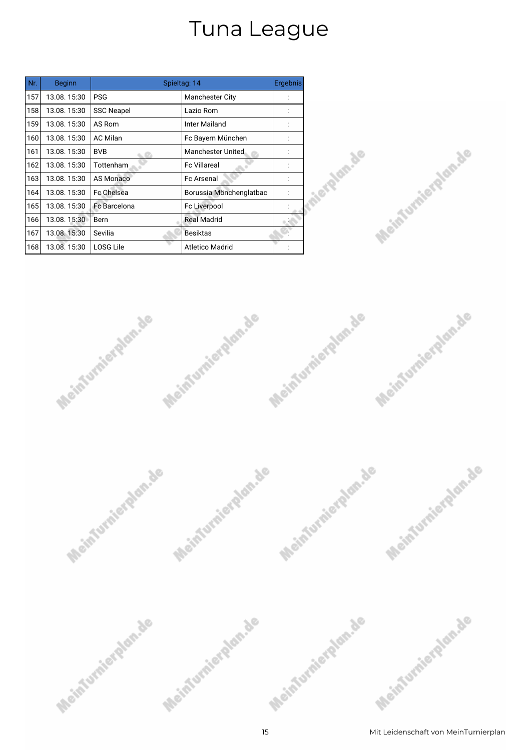| Nr. | <b>Beginn</b> |                   | Spieltag: 14             | Ergebnis |
|-----|---------------|-------------------|--------------------------|----------|
| 157 | 13.08.15:30   | <b>PSG</b>        | Manchester City          |          |
| 158 | 13.08.15:30   | <b>SSC Neapel</b> | Lazio Rom                |          |
| 159 | 13.08.15:30   | AS Rom            | Inter Mailand            |          |
| 160 | 13.08.15:30   | <b>AC Milan</b>   | Fc Bayern München        |          |
| 161 | 13.08.15:30   | <b>BVB</b>        | <b>Manchester United</b> |          |
| 162 | 13.08.15:30   | Tottenham         | <b>Fc Villareal</b>      |          |
| 163 | 13.08.15:30   | <b>AS Monaco</b>  | <b>Fc Arsenal</b>        |          |
| 164 | 13.08.15:30   | Fc Chelsea        | Borussia Mönchenglatbac  |          |
| 165 | 13.08.15:30   | Fc Barcelona      | Fc Liverpool             |          |
| 166 | 13.08.15:30   | Bern              | <b>Real Madrid</b>       |          |
| 167 | 13.08.15:30   | Sevilia           | Besiktas                 |          |
| 168 | 13.08.15:30   | <b>LOSG Lile</b>  | <b>Atletico Madrid</b>   |          |







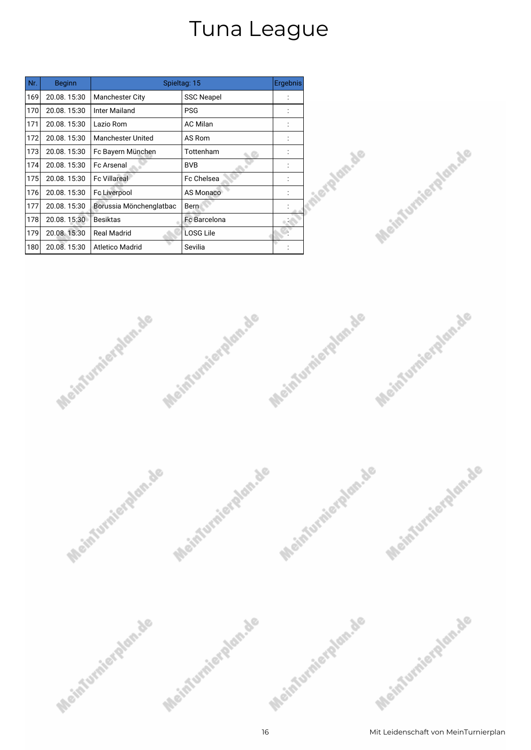| Nr. | <b>Beginn</b> |                          | Spieltag: 15        | Ergebnis |
|-----|---------------|--------------------------|---------------------|----------|
| 169 | 20.08.15:30   | <b>Manchester City</b>   | <b>SSC Neapel</b>   |          |
| 170 | 20.08.15:30   | <b>Inter Mailand</b>     | <b>PSG</b>          |          |
| 171 | 20.08.15:30   | Lazio Rom                | <b>AC Milan</b>     |          |
| 172 | 20.08.15:30   | <b>Manchester United</b> | AS Rom              |          |
| 173 | 20.08.15:30   | Fc Bayern München        | Tottenham           |          |
| 174 | 20.08.15:30   | <b>Fc Arsenal</b>        | <b>BVB</b>          |          |
| 175 | 20.08.15:30   | <b>Fc Villareal</b>      | Fc Chelsea          |          |
| 176 | 20.08.15:30   | Fc Liverpool             | <b>AS Monaco</b>    |          |
| 177 | 20.08.15:30   | Borussia Mönchenglatbac  | Bern                |          |
| 178 | 20.08.15:30   | <b>Besiktas</b>          | <b>Fc Barcelona</b> |          |
| 179 | 20.08.15:30   | <b>Real Madrid</b>       | LOSG Lile           |          |
| 180 | 20.08.15:30   | <b>Atletico Madrid</b>   | Sevilia             |          |







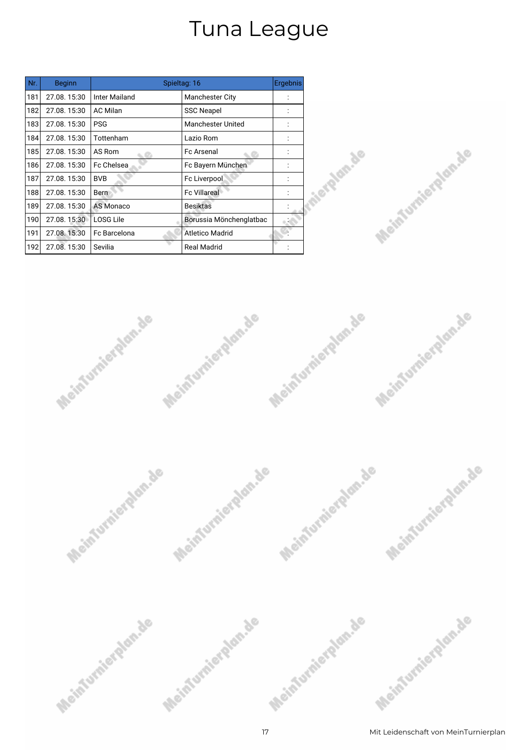| Nr. | <b>Beginn</b> |                 | Spieltag: 16             | Ergebnis |
|-----|---------------|-----------------|--------------------------|----------|
| 181 | 27.08.15:30   | Inter Mailand   | <b>Manchester City</b>   |          |
| 182 | 27.08.15:30   | <b>AC Milan</b> | <b>SSC Neapel</b>        |          |
| 183 | 27.08.15:30   | <b>PSG</b>      | <b>Manchester United</b> |          |
| 184 | 27.08.15:30   | Tottenham       | Lazio Rom                |          |
| 185 | 27.08.15:30   | AS Rom          | <b>Fc Arsenal</b>        |          |
| 186 | 27.08.15:30   | Fc Chelsea      | Fc Bayern München        |          |
| 187 | 27.08.15:30   | <b>BVB</b>      | Fc Liverpool             |          |
| 188 | 27.08.15:30   | Bern            | <b>Fc Villareal</b>      |          |
| 189 | 27.08.15:30   | AS Monaco       | <b>Besiktas</b>          |          |
| 190 | 27.08.15:30   | LOSG Lile       | Borussia Mönchenglatbac  |          |
| 191 | 27.08.15:30   | Fc Barcelona    | <b>Atletico Madrid</b>   |          |
| 192 | 27.08.15:30   | Sevilia         | <b>Real Madrid</b>       |          |







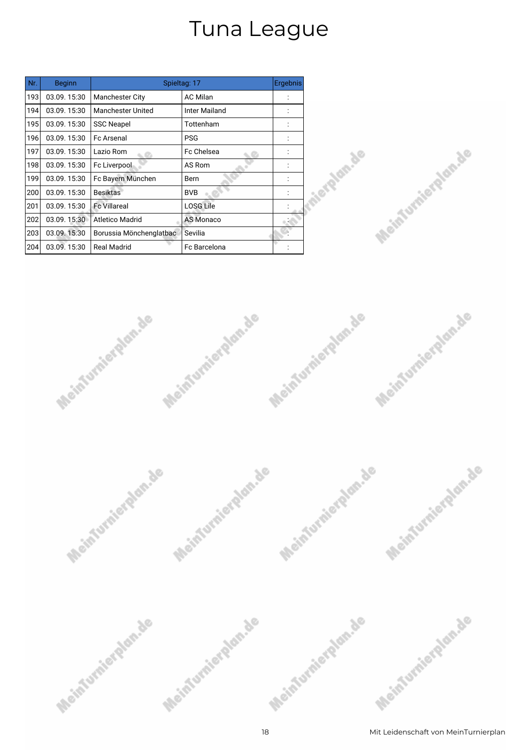| Nr. | <b>Beginn</b> |                          | Spieltag: 17        | Ergebnis |
|-----|---------------|--------------------------|---------------------|----------|
| 193 | 03.09.15:30   | <b>Manchester City</b>   | <b>AC Milan</b>     |          |
| 194 | 03.09.15:30   | <b>Manchester United</b> | Inter Mailand       |          |
| 195 | 03.09.15:30   | <b>SSC Neapel</b>        | Tottenham           |          |
| 196 | 03.09.15:30   | <b>Fc Arsenal</b>        | <b>PSG</b>          |          |
| 197 | 03.09.15:30   | Lazio Rom                | Fc Chelsea          |          |
| 198 | 03.09.15:30   | Fc Liverpool             | AS Rom              |          |
| 199 | 03.09.15:30   | Fc Bayern München        | Bern                |          |
| 200 | 03.09.15:30   | <b>Besiktas</b>          | <b>BVB</b>          |          |
| 201 | 03.09.15:30   | <b>Fc Villareal</b>      | <b>LOSG Lile</b>    |          |
| 202 | 03.09.15:30   | Atletico Madrid          | <b>AS Monaco</b>    |          |
| 203 | 03.09.15:30   | Borussia Mönchenglatbac  | Sevilia             |          |
| 204 | 03.09.15:30   | <b>Real Madrid</b>       | <b>Fc Barcelona</b> |          |







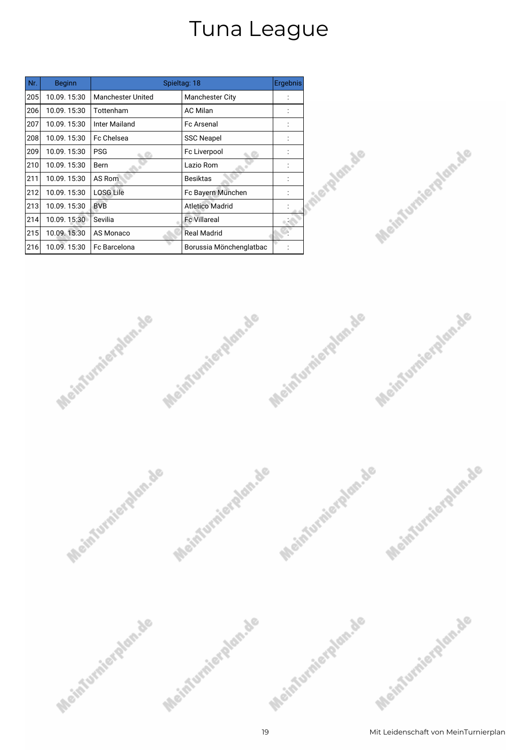| Nr. | <b>Beginn</b> |                          | Spieltag: 18            | Ergebnis |
|-----|---------------|--------------------------|-------------------------|----------|
| 205 | 10.09.15:30   | <b>Manchester United</b> | <b>Manchester City</b>  |          |
| 206 | 10.09.15:30   | Tottenham                | <b>AC Milan</b>         |          |
| 207 | 10.09.15:30   | Inter Mailand            | <b>Fc Arsenal</b>       |          |
| 208 | 10.09.15:30   | Fc Chelsea               | <b>SSC Neapel</b>       |          |
| 209 | 10.09.15:30   | <b>PSG</b>               | Fc Liverpool            |          |
| 210 | 10.09.15:30   | Bern                     | Lazio Rom               |          |
| 211 | 10.09.15:30   | AS Rom                   | <b>Besiktas</b>         |          |
| 212 | 10.09.15:30   | <b>LOSG Lile</b>         | Fc Bayern München       |          |
| 213 | 10.09.15:30   | <b>BVB</b>               | Atletico Madrid         |          |
| 214 | 10.09.15:30   | Sevilia                  | <b>Fc Villareal</b>     |          |
| 215 | 10.09.15:30   | AS Monaco                | <b>Real Madrid</b>      |          |
| 216 | 10.09.15:30   | Fc Barcelona             | Borussia Mönchenglatbac |          |







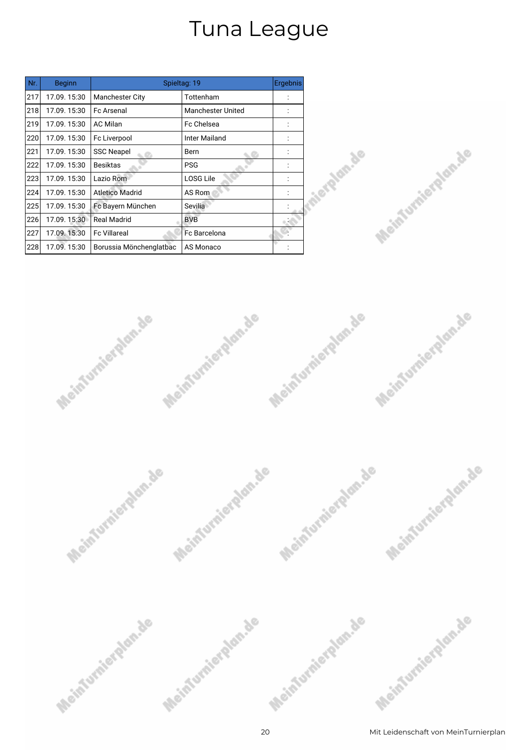| Nr. | <b>Beginn</b> |                         | Spieltag: 19             | Ergebnis |
|-----|---------------|-------------------------|--------------------------|----------|
| 217 | 17.09.15:30   | <b>Manchester City</b>  | Tottenham                |          |
| 218 | 17.09.15:30   | <b>Fc Arsenal</b>       | <b>Manchester United</b> |          |
| 219 | 17.09.15:30   | <b>AC Milan</b>         | Fc Chelsea               |          |
| 220 | 17.09.15:30   | Fc Liverpool            | Inter Mailand            |          |
| 221 | 17.09.15:30   | <b>SSC Neapel</b>       | Bern                     |          |
| 222 | 17.09.15:30   | <b>Besiktas</b>         | <b>PSG</b>               |          |
| 223 | 17.09.15:30   | Lazio Rom               | <b>LOSG Lile</b>         |          |
| 224 | 17.09.15:30   | <b>Atletico Madrid</b>  | AS Rom                   |          |
| 225 | 17.09.15:30   | Fc Bayern München       | Sevilia                  |          |
| 226 | 17.09.15:30   | <b>Real Madrid</b>      | <b>BVB</b>               |          |
| 227 | 17.09.15:30   | <b>Fc Villareal</b>     | Fc Barcelona             |          |
| 228 | 17.09.15:30   | Borussia Mönchenglatbac | AS Monaco                |          |







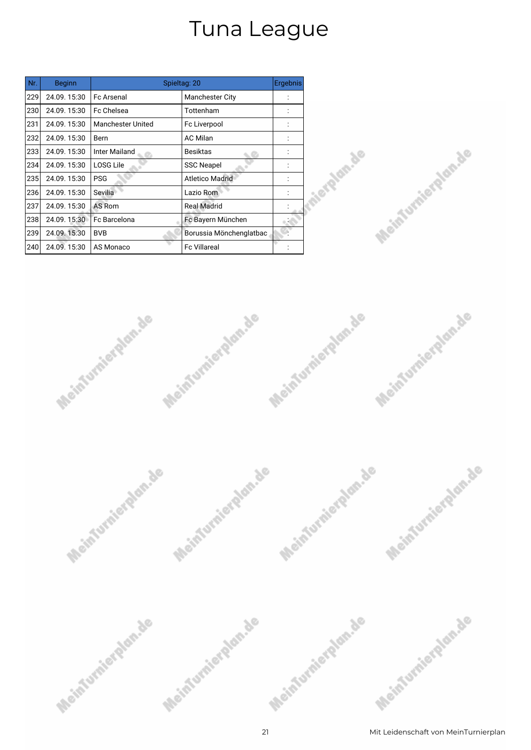| Nr. | <b>Beginn</b> |                          | Spieltag: 20            | Ergebnis |
|-----|---------------|--------------------------|-------------------------|----------|
| 229 | 24.09.15:30   | <b>Fc Arsenal</b>        | <b>Manchester City</b>  |          |
| 230 | 24.09.15:30   | Fc Chelsea               | Tottenham               |          |
| 231 | 24.09.15:30   | <b>Manchester United</b> | Fc Liverpool            |          |
| 232 | 24.09.15:30   | Bern                     | <b>AC Milan</b>         |          |
| 233 | 24.09.15:30   | Inter Mailand            | <b>Besiktas</b>         |          |
| 234 | 24.09.15:30   | LOSG Lile                | <b>SSC Neapel</b>       |          |
| 235 | 24.09.15:30   | <b>PSG</b>               | <b>Atletico Madrid</b>  |          |
| 236 | 24.09.15:30   | Sevilia                  | Lazio Rom               |          |
| 237 | 24.09.15:30   | AS Rom                   | <b>Real Madrid</b>      |          |
| 238 | 24.09.15:30   | Fc Barcelona             | Fc Bayern München       |          |
| 239 | 24.09.15:30   | <b>BVB</b>               | Borussia Mönchenglatbac |          |
| 240 | 24.09.15:30   | AS Monaco                | <b>Fc Villareal</b>     |          |







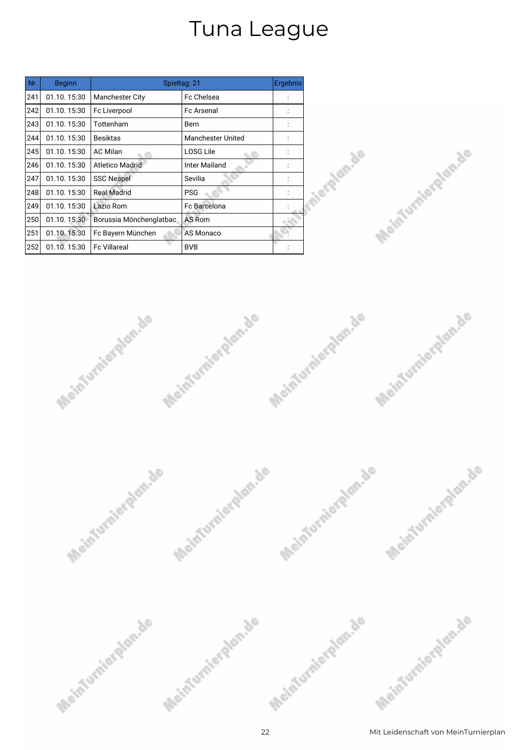| Nr. | <b>Beginn</b> |                         | Spieltag: 21             | Ergebnis |
|-----|---------------|-------------------------|--------------------------|----------|
| 241 | 01.10.15:30   | <b>Manchester City</b>  | Fc Chelsea               |          |
| 242 | 01.10.15:30   | Fc Liverpool            | <b>Fc Arsenal</b>        |          |
| 243 | 01.10.15:30   | Tottenham               | Bern                     |          |
| 244 | 01.10.15:30   | <b>Besiktas</b>         | <b>Manchester United</b> |          |
| 245 | 01.10.15:30   | <b>AC Milan</b>         | LOSG Lile                |          |
| 246 | 01.10.15:30   | <b>Atletico Madrid</b>  | <b>Inter Mailand</b>     |          |
| 247 | 01.10.15:30   | <b>SSC Neapel</b>       | Sevilia                  |          |
| 248 | 01.10.15:30   | <b>Real Madrid</b>      | <b>PSG</b>               |          |
| 249 | 01.10.15:30   | Lazio Rom               | Fc Barcelona             |          |
| 250 | 01.10.15:30   | Borussia Mönchenglatbac | AS Rom                   |          |
| 251 | 01.10.15:30   | Fc Bayern München       | AS Monaco                |          |
| 252 | 01.10.15:30   | <b>Fc Villareal</b>     | <b>BVB</b>               |          |







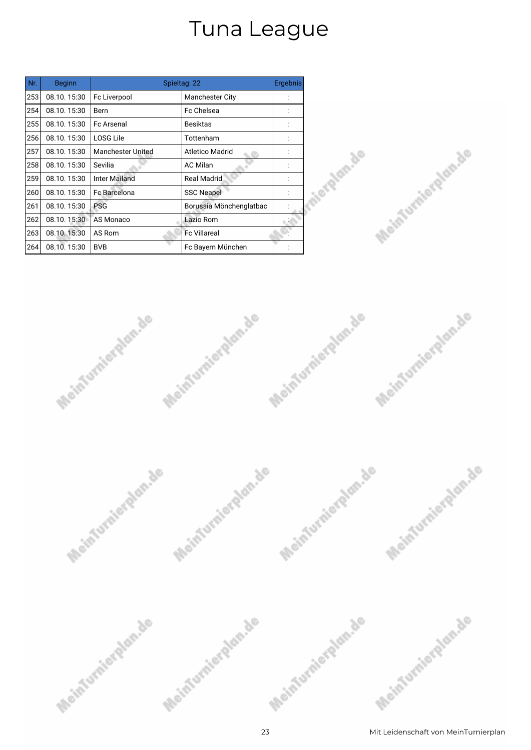| Nr. | <b>Beginn</b> |                          | Spieltag: 22            | Ergebnis |
|-----|---------------|--------------------------|-------------------------|----------|
| 253 | 08.10.15:30   | Fc Liverpool             | Manchester City         |          |
| 254 | 08.10.15:30   | Bern                     | Fc Chelsea              |          |
| 255 | 08.10.15:30   | <b>Fc Arsenal</b>        | Besiktas                |          |
| 256 | 08.10.15:30   | LOSG Lile                | Tottenham               |          |
| 257 | 08.10.15:30   | <b>Manchester United</b> | Atletico Madrid         |          |
| 258 | 08.10.15:30   | Sevilia                  | <b>AC Milan</b>         |          |
| 259 | 08.10.15:30   | <b>Inter Mailand</b>     | <b>Real Madrid</b>      |          |
| 260 | 08.10.15:30   | <b>Fc Barcelona</b>      | <b>SSC Neapel</b>       |          |
| 261 | 08.10.15:30   | <b>PSG</b>               | Borussia Mönchenglatbac |          |
| 262 | 08.10.15:30   | AS Monaco                | Lazio Rom               |          |
| 263 | 08.10.15:30   | AS Rom                   | <b>Fc Villareal</b>     |          |
| 264 | 08.10.15:30   | <b>BVB</b>               | Fc Bayern München       |          |







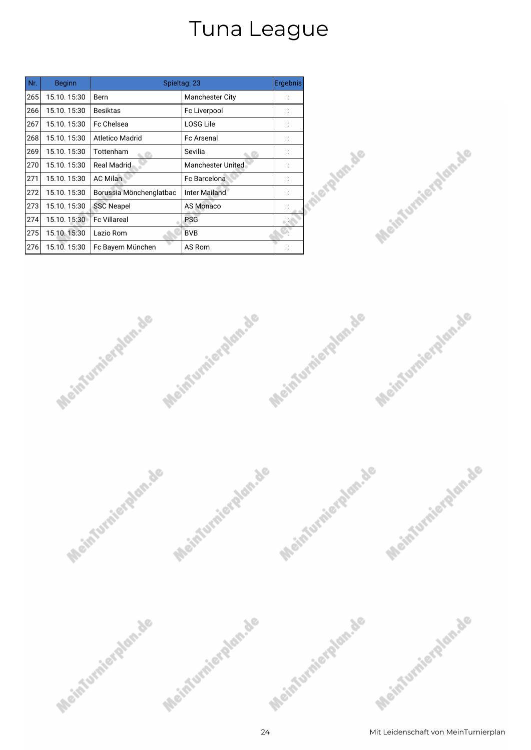| Nr. | <b>Beginn</b> |                         | Spieltag: 23           | Ergebnis |
|-----|---------------|-------------------------|------------------------|----------|
| 265 | 15.10.15:30   | Bern                    | <b>Manchester City</b> |          |
| 266 | 15.10.15:30   | <b>Besiktas</b>         | Fc Liverpool           |          |
| 267 | 15.10.15:30   | Fc Chelsea              | <b>LOSG Lile</b>       |          |
| 268 | 15.10.15:30   | Atletico Madrid         | Fc Arsenal             |          |
| 269 | 15.10.15:30   | Tottenham               | Sevilia                |          |
| 270 | 15.10.15:30   | <b>Real Madrid</b>      | Manchester United      |          |
| 271 | 15.10.15:30   | <b>AC Milan</b>         | Fc Barcelona           |          |
| 272 | 15.10.15:30   | Borussia Mönchenglatbac | <b>Inter Mailand</b>   |          |
| 273 | 15.10.15:30   | <b>SSC Neapel</b>       | <b>AS Monaco</b>       |          |
| 274 | 15.10.15:30   | <b>Fc Villareal</b>     | <b>PSG</b>             |          |
| 275 | 15.10.15:30   | Lazio Rom               | <b>BVB</b>             |          |
| 276 | 15.10.15:30   | Fc Bayern München       | AS Rom                 |          |







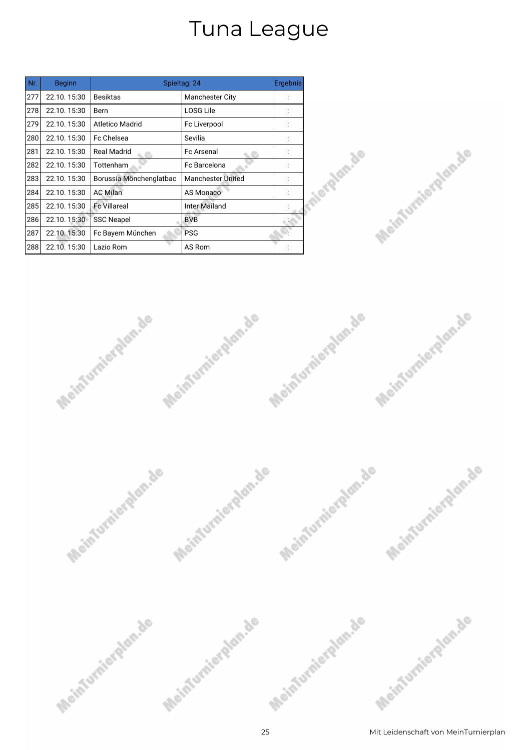| Nr. | <b>Beginn</b> |                         | Spieltag: 24             | Ergebnis |
|-----|---------------|-------------------------|--------------------------|----------|
| 277 | 22.10.15:30   | <b>Besiktas</b>         | <b>Manchester City</b>   |          |
| 278 | 22.10.15:30   | Bern                    | <b>LOSG Lile</b>         |          |
| 279 | 22.10.15:30   | <b>Atletico Madrid</b>  | Fc Liverpool             |          |
| 280 | 22.10.15:30   | Fc Chelsea              | Sevilia                  |          |
| 281 | 22.10.15:30   | Real Madrid             | <b>Fc Arsenal</b>        |          |
| 282 | 22.10.15:30   | Tottenham               | Fc Barcelona             |          |
| 283 | 22.10.15:30   | Borussia Mönchenglatbac | <b>Manchester United</b> |          |
| 284 | 22.10.15:30   | <b>AC Milan</b>         | <b>AS Monaco</b>         |          |
| 285 | 22.10.15:30   | <b>Fc Villareal</b>     | <b>Inter Mailand</b>     |          |
| 286 | 22.10.15:30   | <b>SSC Neapel</b>       | <b>BVB</b>               |          |
| 287 | 22.10.15:30   | Fc Bayern München       | <b>PSG</b>               |          |
| 288 | 22.10.15:30   | Lazio Rom               | AS Rom                   |          |







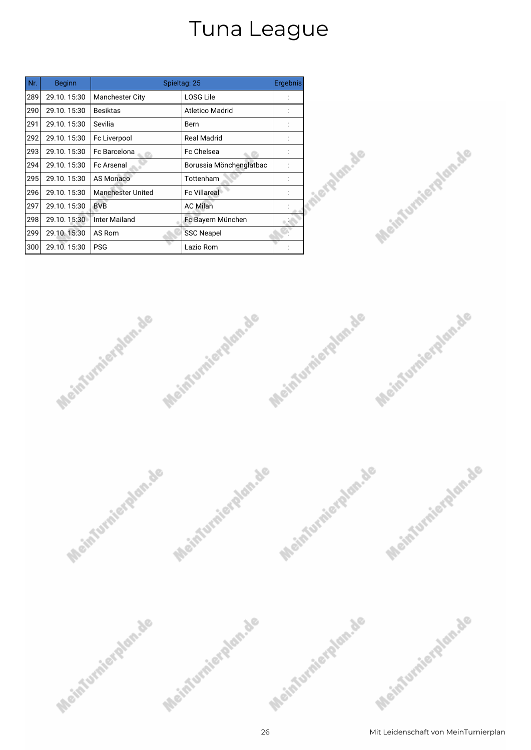| Nr. | <b>Beginn</b> |                          | Spieltag: 25            | Ergebnis |
|-----|---------------|--------------------------|-------------------------|----------|
| 289 | 29.10.15:30   | <b>Manchester City</b>   | <b>LOSG Lile</b>        |          |
| 290 | 29.10.15:30   | <b>Besiktas</b>          | <b>Atletico Madrid</b>  |          |
| 291 | 29.10.15:30   | Sevilia                  | Bern                    |          |
| 292 | 29.10.15:30   | Fc Liverpool             | <b>Real Madrid</b>      |          |
| 293 | 29.10.15:30   | Fc Barcelona             | Fc Chelsea              |          |
| 294 | 29.10.15:30   | <b>Fc Arsenal</b>        | Borussia Mönchenglatbac |          |
| 295 | 29.10.15:30   | <b>AS Monaco</b>         | Tottenham               |          |
| 296 | 29.10.15:30   | <b>Manchester United</b> | <b>Fc Villareal</b>     |          |
| 297 | 29.10.15:30   | <b>BVB</b>               | <b>AC Milan</b>         |          |
| 298 | 29.10.15:30   | Inter Mailand            | Fc Bayern München       |          |
| 299 | 29.10.15:30   | AS Rom                   | <b>SSC Neapel</b>       |          |
| 300 | 29.10.15:30   | <b>PSG</b>               | Lazio Rom               |          |







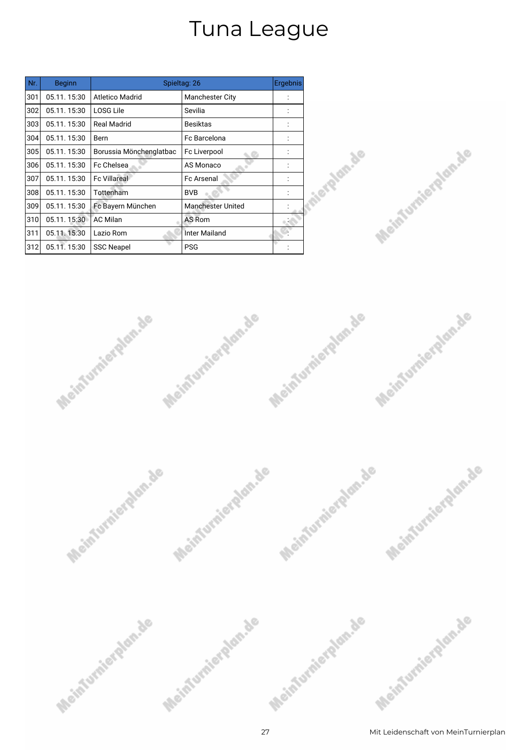| Nr. | <b>Beginn</b> |                         | Spieltag: 26             | Ergebnis |
|-----|---------------|-------------------------|--------------------------|----------|
| 301 | 05.11.15:30   | <b>Atletico Madrid</b>  | <b>Manchester City</b>   |          |
| 302 | 05.11.15:30   | <b>LOSG Lile</b>        | Sevilia                  |          |
| 303 | 05.11.15:30   | Real Madrid             | <b>Besiktas</b>          |          |
| 304 | 05.11.15:30   | Bern                    | Fc Barcelona             |          |
| 305 | 05.11.15:30   | Borussia Mönchenglatbac | Fc Liverpool             |          |
| 306 | 05.11.15:30   | Fc Chelsea              | AS Monaco                |          |
| 307 | 05.11.15:30   | <b>Fc Villareal</b>     | <b>Fc Arsenal</b>        |          |
| 308 | 05.11.15:30   | Tottenham               | <b>BVB</b>               |          |
| 309 | 05.11.15:30   | Fc Bayern München       | <b>Manchester United</b> |          |
| 310 | 05.11.15:30   | <b>AC Milan</b>         | AS Rom                   |          |
| 311 | 05.11.15:30   | Lazio Rom               | Inter Mailand            |          |
| 312 | 05.11.15:30   | <b>SSC Neapel</b>       | <b>PSG</b>               |          |







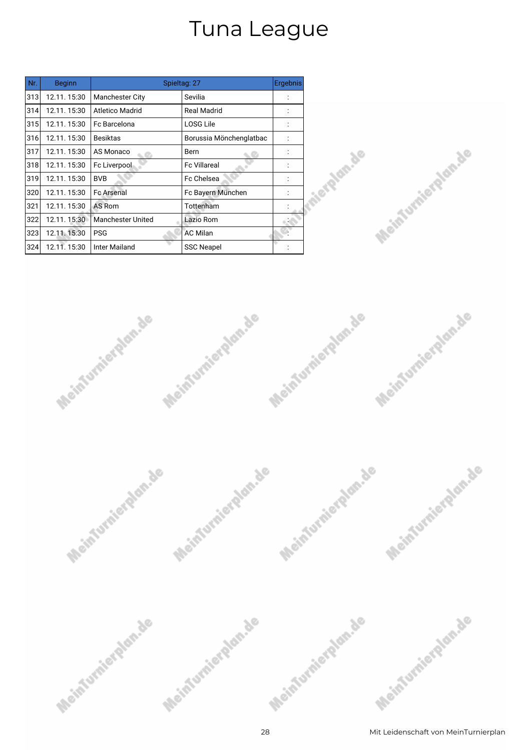| Nr. | <b>Beginn</b> |                          | Spieltag: 27            | Ergebnis |
|-----|---------------|--------------------------|-------------------------|----------|
| 313 | 12.11.15:30   | <b>Manchester City</b>   | Sevilia                 |          |
| 314 | 12.11.15:30   | <b>Atletico Madrid</b>   | <b>Real Madrid</b>      |          |
| 315 | 12.11.15:30   | Fc Barcelona             | <b>LOSG Lile</b>        |          |
| 316 | 12.11.15:30   | <b>Besiktas</b>          | Borussia Mönchenglatbac |          |
| 317 | 12.11.15:30   | AS Monaco                | Bern                    |          |
| 318 | 12.11.15:30   | Fc Liverpool             | <b>Fc Villareal</b>     |          |
| 319 | 12.11.15:30   | <b>BVB</b>               | <b>Fc Chelsea</b>       |          |
| 320 | 12.11.15:30   | <b>Fc Arsenal</b>        | Fc Bayern München       |          |
| 321 | 12.11.15:30   | AS Rom                   | Tottenham               |          |
| 322 | 12.11.15:30   | <b>Manchester United</b> | Lazio Rom               |          |
| 323 | 12.11.15:30   | <b>PSG</b>               | <b>AC Milan</b>         |          |
| 324 | 12.11.15:30   | <b>Inter Mailand</b>     | <b>SSC Neapel</b>       |          |







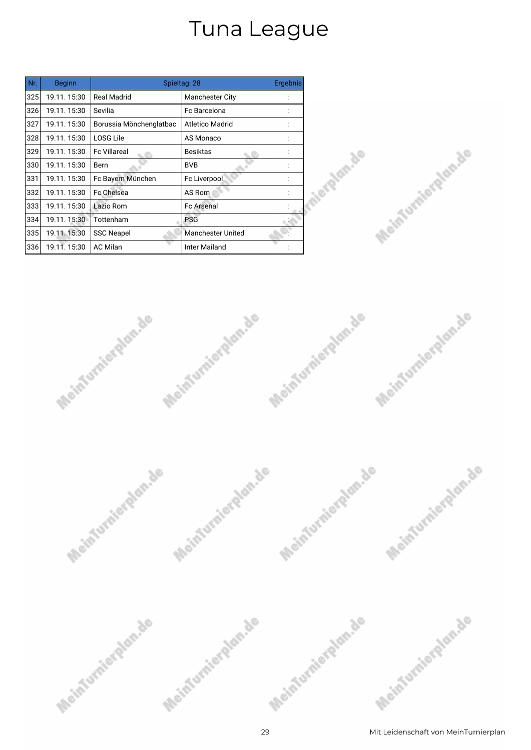| Nr. | <b>Beginn</b> |                         | Spieltag: 28             | Ergebnis |
|-----|---------------|-------------------------|--------------------------|----------|
| 325 | 19.11.15:30   | <b>Real Madrid</b>      | <b>Manchester City</b>   |          |
| 326 | 19.11.15:30   | Sevilia                 | <b>Fc Barcelona</b>      |          |
| 327 | 19.11.15:30   | Borussia Mönchenglatbac | Atletico Madrid          |          |
| 328 | 19.11.15:30   | LOSG Lile               | AS Monaco                |          |
| 329 | 19.11.15:30   | <b>Fc Villareal</b>     | <b>Besiktas</b>          |          |
| 330 | 19.11.15:30   | Bern                    | <b>BVB</b>               |          |
| 331 | 19.11.15:30   | Fc Bayern München       | Fc Liverpool             |          |
| 332 | 19.11.15:30   | Fc Chelsea              | AS Rom                   |          |
| 333 | 19.11.15:30   | Lazio Rom               | <b>Fc Arsenal</b>        |          |
| 334 | 19.11.15:30   | Tottenham               | <b>PSG</b>               |          |
| 335 | 19.11.15:30   | <b>SSC Neapel</b>       | <b>Manchester United</b> |          |
| 336 | 19.11.15:30   | <b>AC Milan</b>         | Inter Mailand            |          |







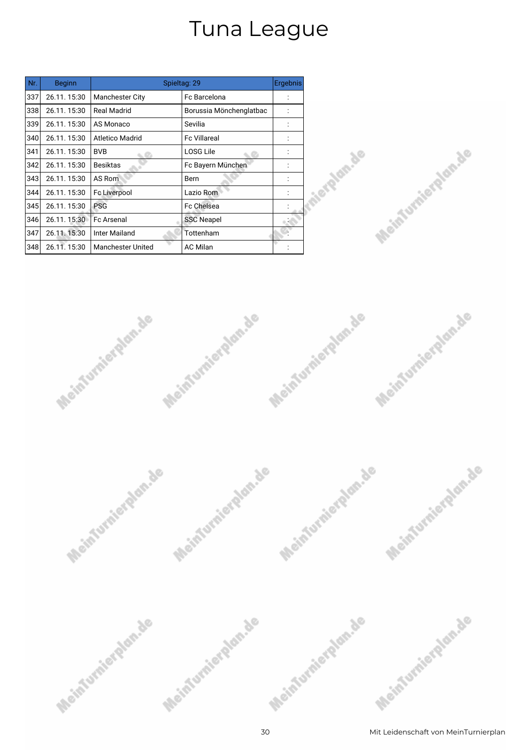| Nr. | <b>Beginn</b> |                          | Spieltag: 29            | Ergebnis |
|-----|---------------|--------------------------|-------------------------|----------|
| 337 | 26.11.15:30   | <b>Manchester City</b>   | Fc Barcelona            |          |
| 338 | 26.11.15:30   | <b>Real Madrid</b>       | Borussia Mönchenglatbac |          |
| 339 | 26.11.15:30   | AS Monaco                | Sevilia                 |          |
| 340 | 26.11.15:30   | Atletico Madrid          | <b>Fc Villareal</b>     |          |
| 341 | 26.11.15:30   | <b>BVB</b>               | <b>LOSG Lile</b>        |          |
| 342 | 26.11.15:30   | <b>Besiktas</b>          | Fc Bayern München       |          |
| 343 | 26.11.15:30   | AS Rom                   | Bern                    |          |
| 344 | 26.11.15:30   | Fc Liverpool             | Lazio Rom               |          |
| 345 | 26.11.15:30   | <b>PSG</b>               | Fc Chelsea              |          |
| 346 | 26.11.15:30   | <b>Fc Arsenal</b>        | <b>SSC Neapel</b>       |          |
| 347 | 26.11.15:30   | Inter Mailand            | Tottenham               |          |
| 348 | 26.11.15:30   | <b>Manchester United</b> | <b>AC Milan</b>         |          |







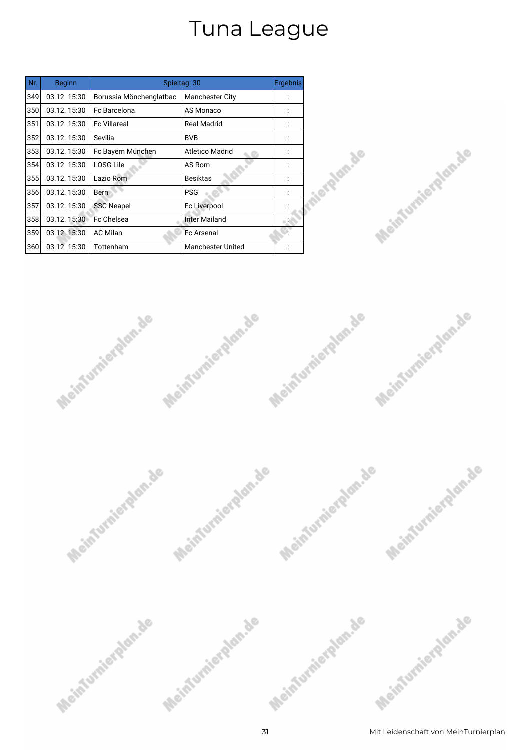| Nr. | <b>Beginn</b> |                         | Spieltag: 30             | Ergebnis |
|-----|---------------|-------------------------|--------------------------|----------|
| 349 | 03.12.15:30   | Borussia Mönchenglatbac | <b>Manchester City</b>   |          |
| 350 | 03.12.15:30   | Fc Barcelona            | AS Monaco                |          |
| 351 | 03.12.15:30   | <b>Fc Villareal</b>     | <b>Real Madrid</b>       |          |
| 352 | 03.12.15:30   | Sevilia                 | <b>BVB</b>               |          |
| 353 | 03.12.15:30   | Fc Bayern München       | <b>Atletico Madrid</b>   |          |
| 354 | 03.12.15:30   | LOSG Lile               | AS Rom                   |          |
| 355 | 03.12.15:30   | Lazio Rom               | <b>Besiktas</b>          |          |
| 356 | 03.12.15:30   | <b>Bern</b>             | <b>PSG</b>               |          |
| 357 | 03.12.15:30   | <b>SSC Neapel</b>       | Fc Liverpool             |          |
| 358 | 03.12.15:30   | Fc Chelsea              | <b>Inter Mailand</b>     |          |
| 359 | 03.12.15:30   | <b>AC Milan</b>         | <b>Fc Arsenal</b>        |          |
| 360 | 03.12.15:30   | Tottenham               | <b>Manchester United</b> |          |







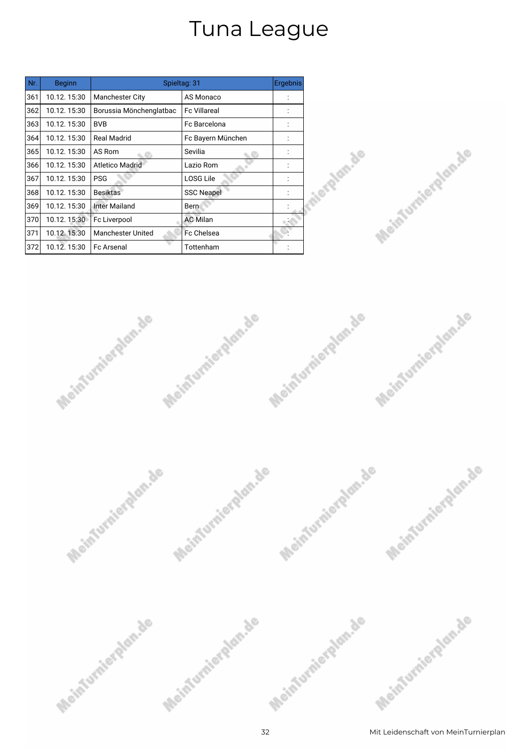| Nr. | <b>Beginn</b> |                          | Spieltag: 31        | Ergebnis |
|-----|---------------|--------------------------|---------------------|----------|
| 361 | 10.12.15:30   | <b>Manchester City</b>   | AS Monaco           |          |
| 362 | 10.12.15:30   | Borussia Mönchenglatbac  | <b>Fc Villareal</b> |          |
| 363 | 10.12.15:30   | <b>BVB</b>               | Fc Barcelona        |          |
| 364 | 10.12.15:30   | Real Madrid              | Fc Bayern München   |          |
| 365 | 10.12.15:30   | AS Rom                   | Sevilia             |          |
| 366 | 10.12.15:30   | <b>Atletico Madrid</b>   | Lazio Rom           |          |
| 367 | 10.12.15:30   | <b>PSG</b>               | <b>LOSG Lile</b>    |          |
| 368 | 10.12.15:30   | <b>Besiktas</b>          | <b>SSC Neapel</b>   |          |
| 369 | 10.12.15:30   | Inter Mailand            | Bern                |          |
| 370 | 10.12.15:30   | Fc Liverpool             | <b>AC Milan</b>     |          |
| 371 | 10.12.15:30   | <b>Manchester United</b> | Fc Chelsea          |          |
| 372 | 10.12.15:30   | <b>Fc Arsenal</b>        | Tottenham           |          |







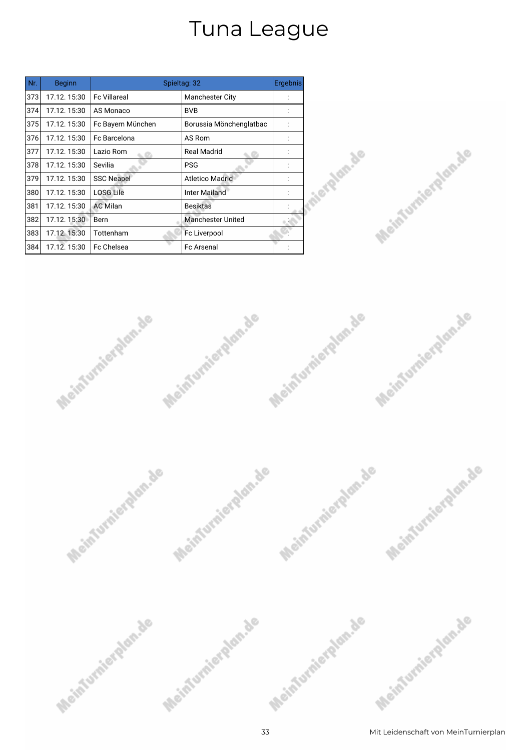| Nr. | <b>Beginn</b> |                     | Spieltag: 32             | Ergebnis |
|-----|---------------|---------------------|--------------------------|----------|
| 373 | 17.12.15:30   | <b>Fc Villareal</b> | <b>Manchester City</b>   |          |
| 374 | 17.12.15:30   | AS Monaco           | <b>BVB</b>               |          |
| 375 | 17.12.15:30   | Fc Bayern München   | Borussia Mönchenglatbac  |          |
| 376 | 17.12.15:30   | Fc Barcelona        | AS Rom                   |          |
| 377 | 17.12.15:30   | Lazio Rom           | Real Madrid              |          |
| 378 | 17.12.15:30   | Sevilia             | <b>PSG</b>               |          |
| 379 | 17.12.15:30   | <b>SSC Neapel</b>   | <b>Atletico Madrid</b>   |          |
| 380 | 17.12.15:30   | <b>LOSG Lile</b>    | Inter Mailand            |          |
| 381 | 17.12.15:30   | <b>AC Milan</b>     | <b>Besiktas</b>          |          |
| 382 | 17.12.15:30   | Bern                | <b>Manchester United</b> |          |
| 383 | 17.12.15:30   | Tottenham           | Fc Liverpool             |          |
| 384 | 17.12.15:30   | <b>Fc Chelsea</b>   | <b>Fc Arsenal</b>        |          |







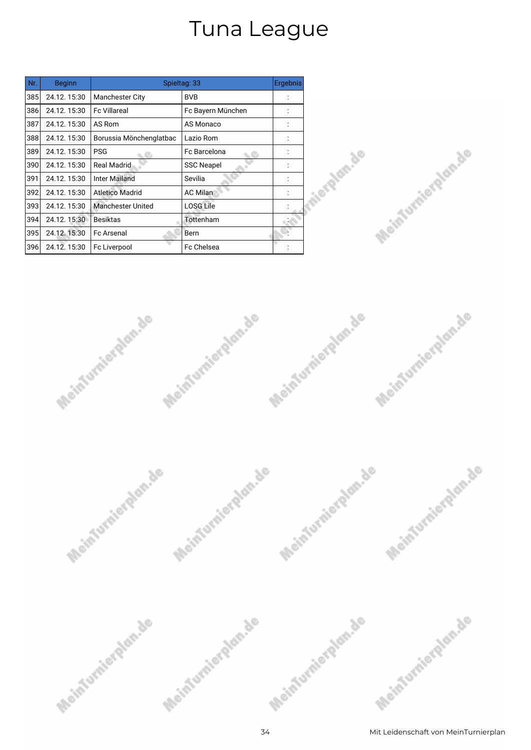| Nr. | <b>Beginn</b> |                          | Spieltag: 33      | Ergebnis |
|-----|---------------|--------------------------|-------------------|----------|
| 385 | 24.12.15:30   | <b>Manchester City</b>   | <b>BVB</b>        |          |
| 386 | 24.12.15:30   | <b>Fc Villareal</b>      | Fc Bayern München |          |
| 387 | 24.12.15:30   | AS Rom                   | AS Monaco         |          |
| 388 | 24.12.15:30   | Borussia Mönchenglatbac  | Lazio Rom         |          |
| 389 | 24.12.15:30   | <b>PSG</b>               | Fc Barcelona      |          |
| 390 | 24.12.15:30   | <b>Real Madrid</b>       | <b>SSC Neapel</b> |          |
| 391 | 24.12.15:30   | <b>Inter Mailand</b>     | Sevilia           |          |
| 392 | 24.12.15:30   | <b>Atletico Madrid</b>   | <b>AC Milan</b>   |          |
| 393 | 24.12.15:30   | <b>Manchester United</b> | <b>LOSG Lile</b>  |          |
| 394 | 24.12.15:30   | <b>Besiktas</b>          | Tottenham         |          |
| 395 | 24.12.15:30   | <b>Fc Arsenal</b>        | Bern              |          |
| 396 | 24.12.15:30   | Fc Liverpool             | <b>Fc Chelsea</b> |          |







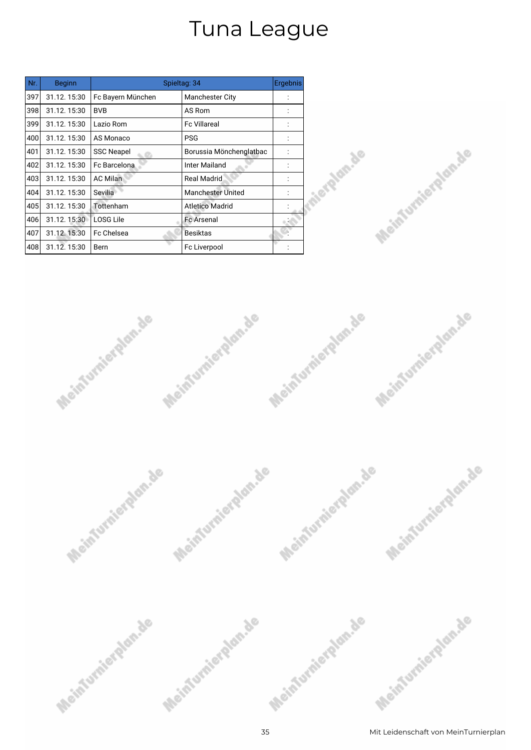| Nr. | <b>Beginn</b> |                   | Spieltag: 34             | Ergebnis |
|-----|---------------|-------------------|--------------------------|----------|
| 397 | 31.12.15:30   | Fc Bayern München | <b>Manchester City</b>   |          |
| 398 | 31.12.15:30   | <b>BVB</b>        | AS Rom                   |          |
| 399 | 31.12.15:30   | Lazio Rom         | <b>Fc Villareal</b>      |          |
| 400 | 31.12.15:30   | AS Monaco         | <b>PSG</b>               |          |
| 401 | 31.12.15:30   | <b>SSC Neapel</b> | Borussia Mönchenglatbac  |          |
| 402 | 31.12.15:30   | Fc Barcelona      | <b>Inter Mailand</b>     |          |
| 403 | 31.12.15:30   | <b>AC Milan</b>   | <b>Real Madrid</b>       |          |
| 404 | 31.12.15:30   | Sevilia           | <b>Manchester United</b> |          |
| 405 | 31.12.15:30   | Tottenham         | <b>Atletico Madrid</b>   |          |
| 406 | 31.12.15:30   | LOSG Lile         | <b>Fc Arsenal</b>        |          |
| 407 | 31.12.15:30   | Fc Chelsea        | Besiktas                 |          |
| 408 | 31.12.15:30   | Bern              | Fc Liverpool             |          |







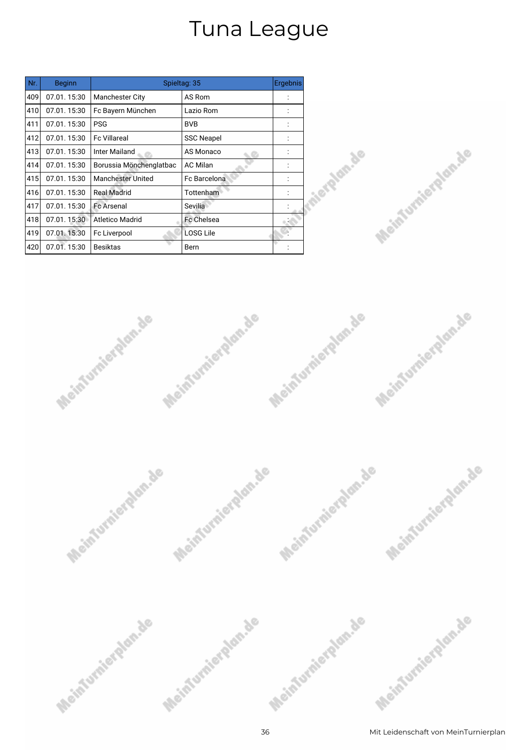| Nr. | <b>Beginn</b> |                          | Spieltag: 35      | Ergebnis |
|-----|---------------|--------------------------|-------------------|----------|
| 409 | 07.01.15:30   | <b>Manchester City</b>   | AS Rom            |          |
| 410 | 07.01.15:30   | Fc Bayern München        | Lazio Rom         |          |
| 411 | 07.01.15:30   | <b>PSG</b>               | <b>BVB</b>        |          |
| 412 | 07.01.15:30   | <b>Fc Villareal</b>      | <b>SSC Neapel</b> |          |
| 413 | 07.01.15:30   | <b>Inter Mailand</b>     | AS Monaco         |          |
| 414 | 07.01.15:30   | Borussia Mönchenglatbac  | <b>AC Milan</b>   |          |
| 415 | 07.01.15:30   | <b>Manchester United</b> | Fc Barcelona      |          |
| 416 | 07.01.15:30   | <b>Real Madrid</b>       | Tottenham         |          |
| 417 | 07.01.15:30   | <b>Fc Arsenal</b>        | Sevilia           |          |
| 418 | 07.01.15:30   | Atletico Madrid          | <b>Fc</b> Chelsea |          |
| 419 | 07.01.15:30   | Fc Liverpool             | LOSG Lile         |          |
| 420 | 07.01.15:30   | <b>Besiktas</b>          | Bern              |          |







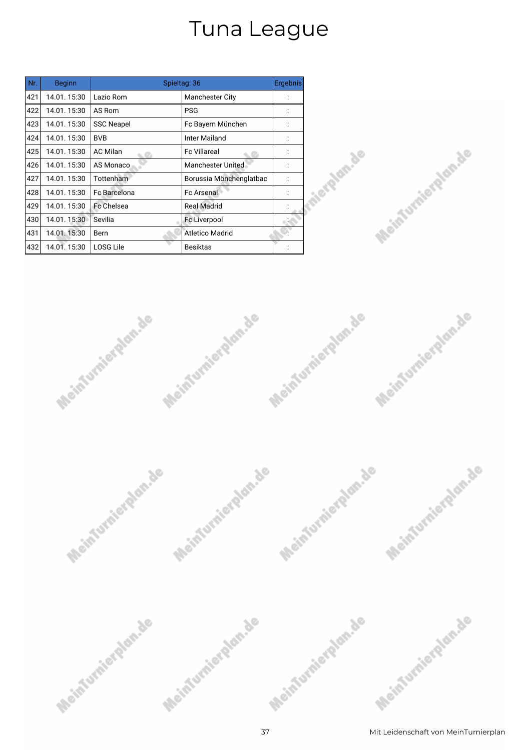| Nr. | <b>Beginn</b> |                   | Spieltag: 36             | Ergebnis |
|-----|---------------|-------------------|--------------------------|----------|
| 421 | 14.01.15:30   | Lazio Rom         | <b>Manchester City</b>   |          |
| 422 | 14.01.15:30   | AS Rom            | <b>PSG</b>               |          |
| 423 | 14.01.15:30   | <b>SSC Neapel</b> | Fc Bayern München        |          |
| 424 | 14.01.15:30   | <b>BVB</b>        | Inter Mailand            |          |
| 425 | 14.01.15:30   | <b>AC Milan</b>   | <b>Fc Villareal</b>      |          |
| 426 | 14.01.15:30   | AS Monaco         | <b>Manchester United</b> |          |
| 427 | 14.01.15:30   | Tottenham         | Borussia Mönchenglatbac  |          |
| 428 | 14.01.15:30   | Fc Barcelona      | <b>Fc Arsenal</b>        |          |
| 429 | 14.01.15:30   | Fc Chelsea        | <b>Real Madrid</b>       |          |
| 430 | 14.01.15:30   | Sevilia           | Fc Liverpool             |          |
| 431 | 14.01.15:30   | Bern              | Atletico Madrid          |          |
| 432 | 14.01.15:30   | LOSG Lile         | <b>Besiktas</b>          |          |







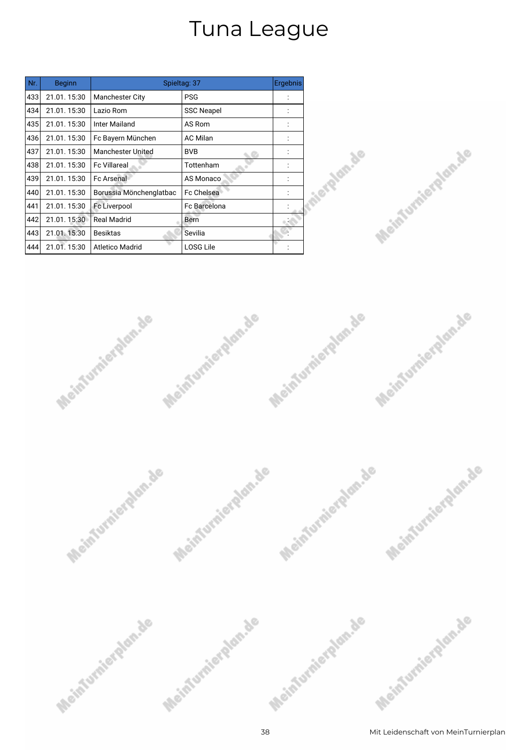| Nr. | <b>Beginn</b> |                          | Spieltag: 37      | Ergebnis |
|-----|---------------|--------------------------|-------------------|----------|
| 433 | 21.01.15:30   | <b>Manchester City</b>   | <b>PSG</b>        |          |
| 434 | 21.01.15:30   | Lazio Rom                | <b>SSC Neapel</b> |          |
| 435 | 21.01.15:30   | Inter Mailand            | AS Rom            |          |
| 436 | 21.01.15:30   | Fc Bayern München        | <b>AC Milan</b>   |          |
| 437 | 21.01.15:30   | <b>Manchester United</b> | <b>BVB</b>        |          |
| 438 | 21.01.15:30   | <b>Fc Villareal</b>      | Tottenham         |          |
| 439 | 21.01.15:30   | <b>Fc Arsenal</b>        | AS Monaco         |          |
| 440 | 21.01.15:30   | Borussia Mönchenglatbac  | <b>Fc Chelsea</b> |          |
| 441 | 21.01.15:30   | Fc Liverpool             | Fc Barcelona      |          |
| 442 | 21.01.15:30   | <b>Real Madrid</b>       | Bern              |          |
| 443 | 21.01.15:30   | <b>Besiktas</b>          | Sevilia           |          |
| 444 | 21.01.15:30   | <b>Atletico Madrid</b>   | <b>LOSG Lile</b>  |          |







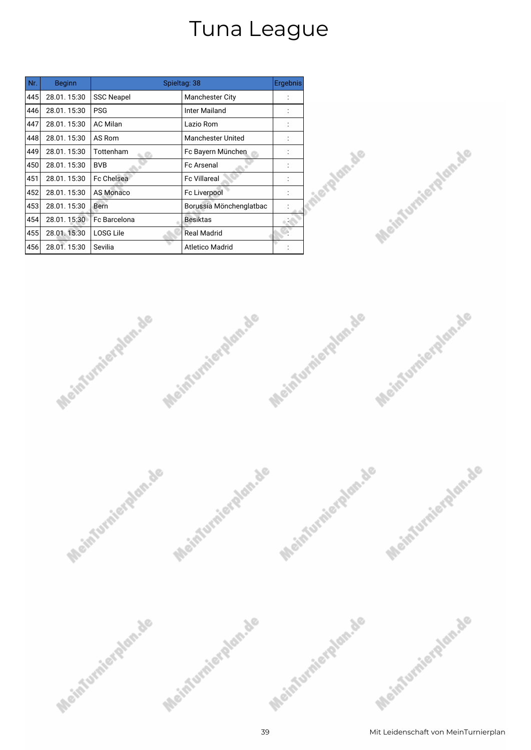| Nr. | <b>Beginn</b> |                   | Spieltag: 38            | Ergebnis |
|-----|---------------|-------------------|-------------------------|----------|
| 445 | 28.01.15:30   | <b>SSC Neapel</b> | Manchester City         |          |
| 446 | 28.01.15:30   | <b>PSG</b>        | Inter Mailand           |          |
| 447 | 28.01.15:30   | <b>AC Milan</b>   | Lazio Rom               |          |
| 448 | 28.01.15:30   | AS Rom            | Manchester United       |          |
| 449 | 28.01.15:30   | Tottenham         | Fc Bayern München       |          |
| 450 | 28.01.15:30   | <b>BVB</b>        | <b>Fc Arsenal</b>       |          |
| 451 | 28.01.15:30   | Fc Chelsea        | <b>Fc Villareal</b>     |          |
| 452 | 28.01.15:30   | AS Monaco         | Fc Liverpool            |          |
| 453 | 28.01.15:30   | Bern              | Borussia Mönchenglatbac |          |
| 454 | 28.01.15:30   | Fc Barcelona      | <b>Besiktas</b>         |          |
| 455 | 28.01.15:30   | LOSG Lile         | <b>Real Madrid</b>      |          |
| 456 | 28.01.15:30   | Sevilia           | Atletico Madrid         |          |







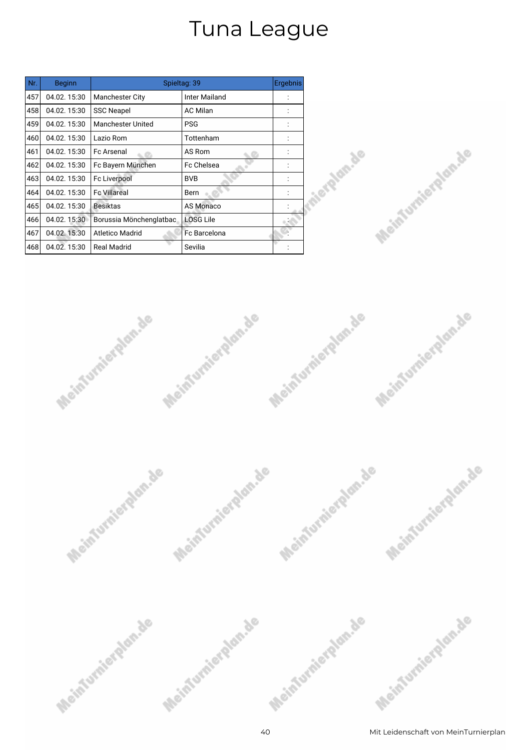| Nr. | <b>Beginn</b> |                          | Spieltag: 39         | Ergebnis |
|-----|---------------|--------------------------|----------------------|----------|
| 457 | 04.02.15:30   | <b>Manchester City</b>   | <b>Inter Mailand</b> |          |
| 458 | 04.02.15:30   | <b>SSC Neapel</b>        | <b>AC Milan</b>      |          |
| 459 | 04.02.15:30   | <b>Manchester United</b> | <b>PSG</b>           |          |
| 460 | 04.02.15:30   | Lazio Rom                | Tottenham            |          |
| 461 | 04.02.15:30   | <b>Fc Arsenal</b>        | AS Rom               |          |
| 462 | 04.02.15:30   | Fc Bayern München        | Fc Chelsea           |          |
| 463 | 04.02.15:30   | Fc Liverpool             | <b>BVB</b>           |          |
| 464 | 04.02.15:30   | <b>Fc Villareal</b>      | <b>Bern</b>          |          |
| 465 | 04.02.15:30   | <b>Besiktas</b>          | AS Monaco            |          |
| 466 | 04.02.15:30   | Borussia Mönchenglatbac  | <b>LOSG Lile</b>     |          |
| 467 | 04.02.15:30   | Atletico Madrid          | <b>Fc Barcelona</b>  |          |
| 468 | 04.02.15:30   | <b>Real Madrid</b>       | Sevilia              |          |







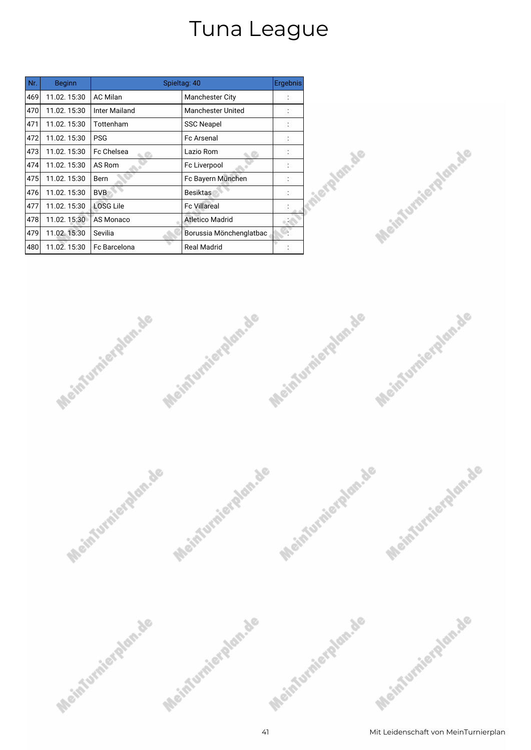| Nr. | <b>Beginn</b> |                     | Spieltag: 40             |  |
|-----|---------------|---------------------|--------------------------|--|
| 469 | 11.02.15:30   | <b>AC Milan</b>     | <b>Manchester City</b>   |  |
| 470 | 11.02.15:30   | Inter Mailand       | <b>Manchester United</b> |  |
| 471 | 11.02.15:30   | Tottenham           | <b>SSC Neapel</b>        |  |
| 472 | 11.02.15:30   | <b>PSG</b>          | <b>Fc Arsenal</b>        |  |
| 473 | 11.02.15:30   | Fc Chelsea          | Lazio Rom                |  |
| 474 | 11.02.15:30   | AS Rom              | Fc Liverpool             |  |
| 475 | 11.02.15:30   | <b>Bern</b>         | Fc Bayern München        |  |
| 476 | 11.02.15:30   | <b>BVB</b>          | <b>Besiktas</b>          |  |
| 477 | 11.02.15:30   | <b>LOSG Lile</b>    | <b>Fc Villareal</b>      |  |
| 478 | 11.02.15:30   | AS Monaco           | <b>Atletico Madrid</b>   |  |
| 479 | 11.02. 15:30  | Sevilia             | Borussia Mönchenglatbac  |  |
| 480 | 11.02.15:30   | <b>Fc Barcelona</b> | <b>Real Madrid</b>       |  |







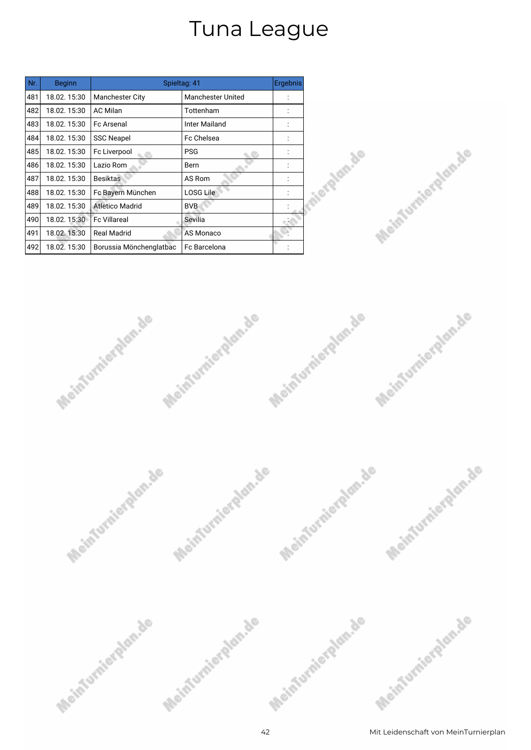| Nr. | <b>Beginn</b> |                         | Spieltag: 41             | Ergebnis |
|-----|---------------|-------------------------|--------------------------|----------|
| 481 | 18.02.15:30   | <b>Manchester City</b>  | <b>Manchester United</b> |          |
| 482 | 18.02.15:30   | <b>AC Milan</b>         | Tottenham                |          |
| 483 | 18.02.15:30   | <b>Fc Arsenal</b>       | Inter Mailand            |          |
| 484 | 18.02.15:30   | <b>SSC Neapel</b>       | Fc Chelsea               |          |
| 485 | 18.02.15:30   | Fc Liverpool            | <b>PSG</b>               |          |
| 486 | 18.02.15:30   | Lazio Rom               | Bern                     |          |
| 487 | 18.02.15:30   | <b>Besiktas</b>         | AS Rom                   |          |
| 488 | 18.02.15:30   | Fc Bayern München       | <b>LOSG Lile</b>         |          |
| 489 | 18.02.15:30   | <b>Atletico Madrid</b>  | <b>BVB</b>               |          |
| 490 | 18.02.15:30   | <b>Fc Villareal</b>     | <b>Sevilia</b>           |          |
| 491 | 18.02.15:30   | Real Madrid             | <b>AS Monaco</b>         |          |
| 492 | 18.02.15:30   | Borussia Mönchenglatbac | <b>Fc Barcelona</b>      |          |







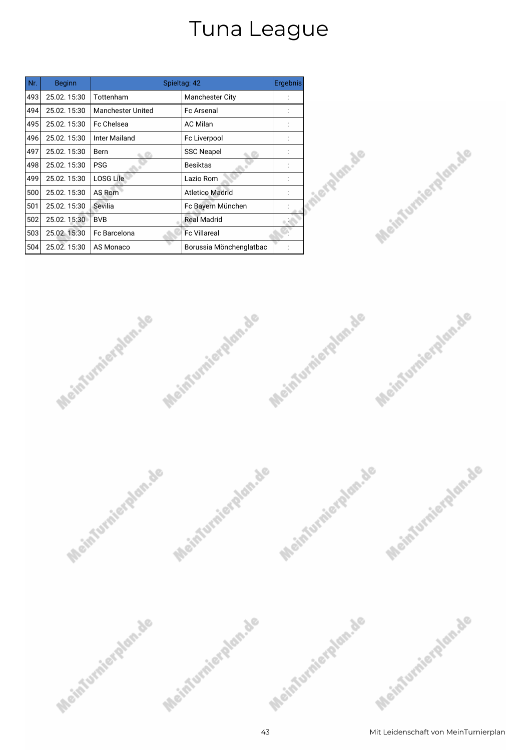| Nr. | <b>Beginn</b> |                          | Spieltag: 42            | Ergebnis |
|-----|---------------|--------------------------|-------------------------|----------|
| 493 | 25.02.15:30   | Tottenham                | <b>Manchester City</b>  |          |
| 494 | 25.02.15:30   | <b>Manchester United</b> | <b>Fc Arsenal</b>       |          |
| 495 | 25.02.15:30   | Fc Chelsea               | <b>AC Milan</b>         |          |
| 496 | 25.02.15:30   | Inter Mailand            | Fc Liverpool            |          |
| 497 | 25.02.15:30   | Bern                     | <b>SSC Neapel</b>       |          |
| 498 | 25.02.15:30   | <b>PSG</b>               | <b>Besiktas</b>         |          |
| 499 | 25.02.15:30   | <b>LOSG Lile</b>         | Lazio Rom               |          |
| 500 | 25.02.15:30   | AS Rom                   | <b>Atletico Madrid</b>  |          |
| 501 | 25.02.15:30   | Sevilia                  | Fc Bayern München       |          |
| 502 | 25.02.15:30   | <b>BVB</b>               | <b>Real Madrid</b>      |          |
| 503 | 25.02.15:30   | Fc Barcelona             | <b>Fc Villareal</b>     |          |
| 504 | 25.02.15:30   | AS Monaco                | Borussia Mönchenglatbac |          |







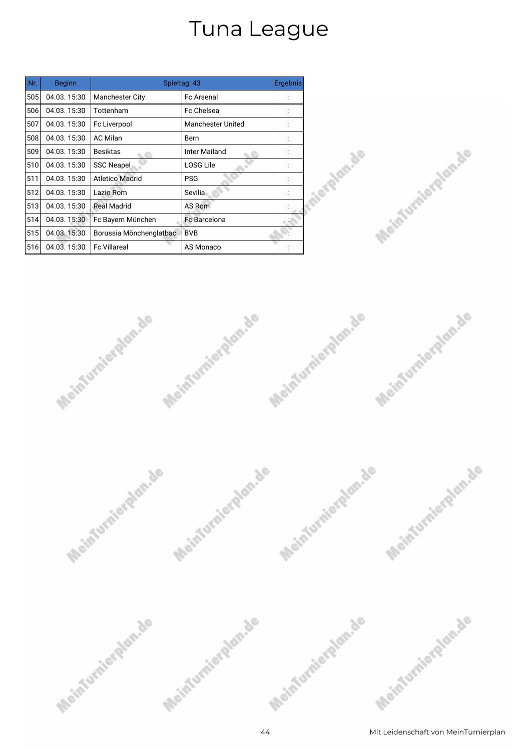| Nr. | <b>Beginn</b> |                         | Spieltag: 43         | Ergebnis |
|-----|---------------|-------------------------|----------------------|----------|
| 505 | 04.03.15:30   | <b>Manchester City</b>  | <b>Fc Arsenal</b>    |          |
| 506 | 04.03.15:30   | Tottenham               | <b>Fc Chelsea</b>    |          |
| 507 | 04.03.15:30   | Fc Liverpool            | Manchester United    |          |
| 508 | 04.03.15:30   | <b>AC Milan</b>         | Bern                 |          |
| 509 | 04.03.15:30   | <b>Besiktas</b>         | <b>Inter Mailand</b> |          |
| 510 | 04.03.15:30   | <b>SSC Neapel</b>       | <b>LOSG Lile</b>     |          |
| 511 | 04.03.15:30   | <b>Atletico Madrid</b>  | <b>PSG</b>           |          |
| 512 | 04.03.15:30   | Lazio Rom               | Sevilia              |          |
| 513 | 04.03.15:30   | <b>Real Madrid</b>      | AS Rom               |          |
| 514 | 04.03.15:30   | Fc Bayern München       | <b>Fc Barcelona</b>  |          |
| 515 | 04.03. 15:30  | Borussia Mönchenglatbac | <b>BVB</b>           |          |
| 516 | 04.03.15:30   | <b>Fc Villareal</b>     | AS Monaco            |          |







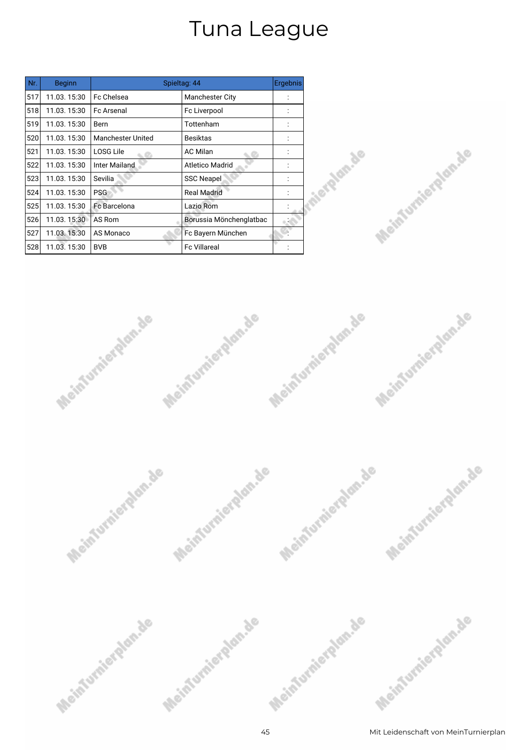| Nr. | <b>Beginn</b> |                      | Spieltag: 44            | Ergebnis |
|-----|---------------|----------------------|-------------------------|----------|
| 517 | 11.03.15:30   | Fc Chelsea           | <b>Manchester City</b>  |          |
| 518 | 11.03.15:30   | <b>Fc Arsenal</b>    | Fc Liverpool            |          |
| 519 | 11.03.15:30   | Bern                 | Tottenham               |          |
| 520 | 11.03.15:30   | Manchester United    | <b>Besiktas</b>         |          |
| 521 | 11.03.15:30   | LOSG Lile            | <b>AC Milan</b>         |          |
| 522 | 11.03.15:30   | <b>Inter Mailand</b> | <b>Atletico Madrid</b>  |          |
| 523 | 11.03.15:30   | Sevilia              | <b>SSC Neapel</b>       |          |
| 524 | 11.03.15:30   | <b>PSG</b>           | <b>Real Madrid</b>      |          |
| 525 | 11.03.15:30   | Fc Barcelona         | Lazio Rom               |          |
| 526 | 11.03.15:30   | AS Rom               | Borussia Mönchenglatbac |          |
| 527 | 11.03.15:30   | AS Monaco            | Fc Bayern München       |          |
| 528 | 11.03.15:30   | <b>BVB</b>           | <b>Fc Villareal</b>     |          |







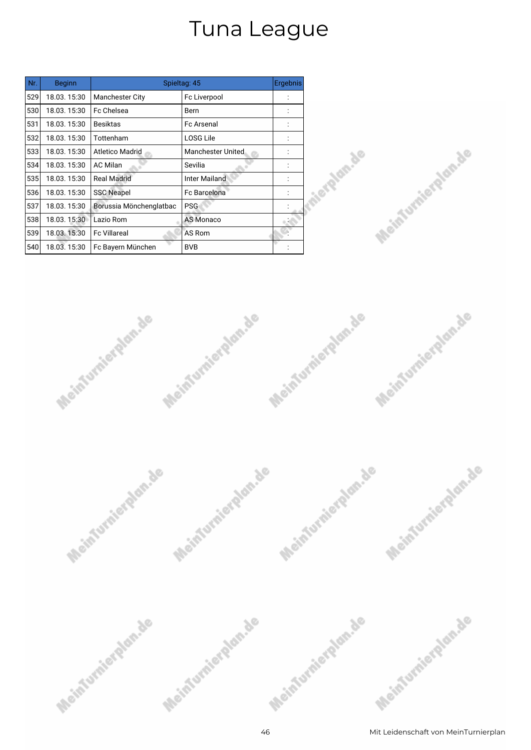| Nr. | <b>Beginn</b> |                         | Spieltag: 45         | Ergebnis |
|-----|---------------|-------------------------|----------------------|----------|
| 529 | 18.03.15:30   | <b>Manchester City</b>  | Fc Liverpool         |          |
| 530 | 18.03.15:30   | Fc Chelsea              | Bern                 |          |
| 531 | 18.03.15:30   | <b>Besiktas</b>         | <b>Fc Arsenal</b>    |          |
| 532 | 18.03.15:30   | Tottenham               | <b>LOSG Lile</b>     |          |
| 533 | 18.03.15:30   | <b>Atletico Madrid</b>  | Manchester United    |          |
| 534 | 18.03.15:30   | <b>AC Milan</b>         | Sevilia              |          |
| 535 | 18.03.15:30   | <b>Real Madrid</b>      | <b>Inter Mailand</b> |          |
| 536 | 18.03.15:30   | <b>SSC Neapel</b>       | <b>Fc Barcelona</b>  |          |
| 537 | 18.03.15:30   | Borussia Mönchenglatbac | <b>PSG</b>           |          |
| 538 | 18.03.15:30   | Lazio Rom               | <b>AS Monaco</b>     |          |
| 539 | 18.03.15:30   | <b>Fc Villareal</b>     | AS Rom               |          |
| 540 | 18.03.15:30   | Fc Bayern München       | <b>BVB</b>           |          |